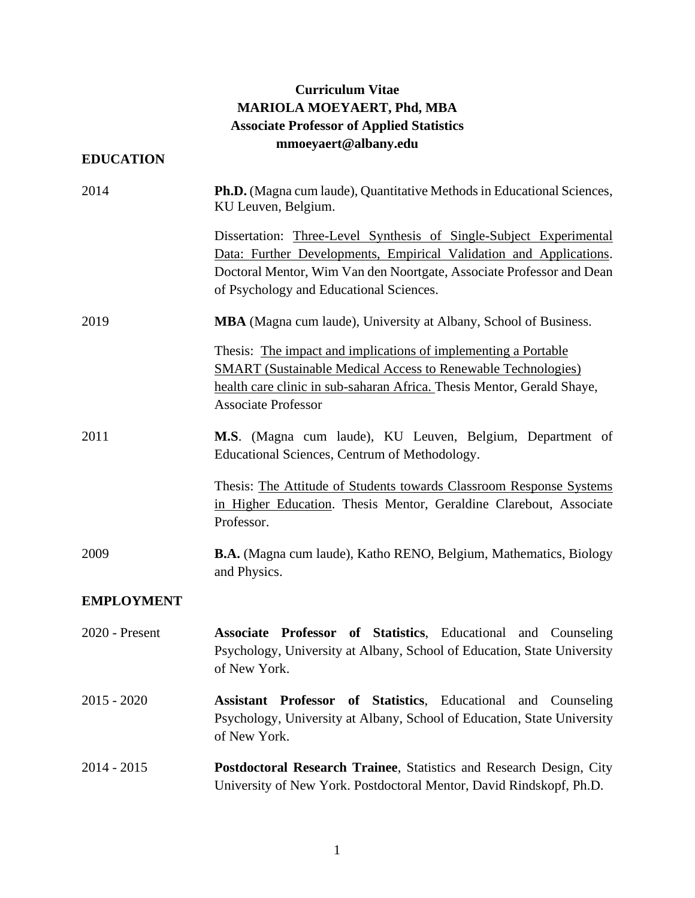# **Curriculum Vitae MARIOLA MOEYAERT, Phd, MBA Associate Professor of Applied Statistics mmoeyaert@albany.edu**

# **EDUCATION**

| 2014              | Ph.D. (Magna cum laude), Quantitative Methods in Educational Sciences,<br>KU Leuven, Belgium.                                                                                                                                                               |
|-------------------|-------------------------------------------------------------------------------------------------------------------------------------------------------------------------------------------------------------------------------------------------------------|
|                   | Dissertation: Three-Level Synthesis of Single-Subject Experimental<br>Data: Further Developments, Empirical Validation and Applications.<br>Doctoral Mentor, Wim Van den Noortgate, Associate Professor and Dean<br>of Psychology and Educational Sciences. |
| 2019              | <b>MBA</b> (Magna cum laude), University at Albany, School of Business.                                                                                                                                                                                     |
|                   | Thesis: The impact and implications of implementing a Portable<br><b>SMART</b> (Sustainable Medical Access to Renewable Technologies)<br>health care clinic in sub-saharan Africa. Thesis Mentor, Gerald Shaye,<br><b>Associate Professor</b>               |
| 2011              | M.S. (Magna cum laude), KU Leuven, Belgium, Department of<br>Educational Sciences, Centrum of Methodology.                                                                                                                                                  |
|                   | Thesis: The Attitude of Students towards Classroom Response Systems<br>in Higher Education. Thesis Mentor, Geraldine Clarebout, Associate<br>Professor.                                                                                                     |
| 2009              | <b>B.A.</b> (Magna cum laude), Katho RENO, Belgium, Mathematics, Biology<br>and Physics.                                                                                                                                                                    |
| <b>EMPLOYMENT</b> |                                                                                                                                                                                                                                                             |
| 2020 - Present    | Associate Professor of Statistics, Educational and Counseling<br>Psychology, University at Albany, School of Education, State University<br>of New York.                                                                                                    |
| $2015 - 2020$     | of Statistics, Educational and Counseling<br><b>Assistant Professor</b><br>Psychology, University at Albany, School of Education, State University<br>of New York.                                                                                          |
| $2014 - 2015$     | Postdoctoral Research Trainee, Statistics and Research Design, City<br>University of New York. Postdoctoral Mentor, David Rindskopf, Ph.D.                                                                                                                  |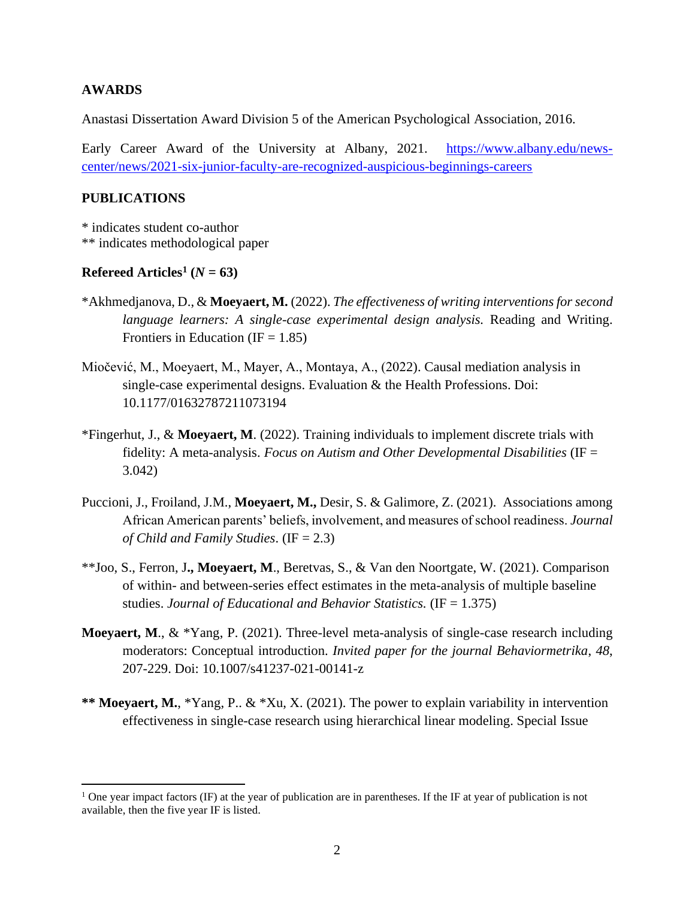# **AWARDS**

Anastasi Dissertation Award Division 5 of the American Psychological Association, 2016.

Early Career Award of the University at Albany, 2021. [https://www.albany.edu/news](https://www.albany.edu/news-center/news/2021-six-junior-faculty-are-recognized-auspicious-beginnings-careers)[center/news/2021-six-junior-faculty-are-recognized-auspicious-beginnings-careers](https://www.albany.edu/news-center/news/2021-six-junior-faculty-are-recognized-auspicious-beginnings-careers)

### **PUBLICATIONS**

\* indicates student co-author \*\* indicates methodological paper

# **Refereed** Articles<sup>1</sup> ( $N = 63$ )

- \*Akhmedjanova, D., & **Moeyaert, M.** (2022). *The effectiveness of writing interventions for second language learners: A single-case experimental design analysis.* Reading and Writing. Frontiers in Education (IF =  $1.85$ )
- Miočević, M., Moeyaert, M., Mayer, A., Montaya, A., (2022). Causal mediation analysis in single-case experimental designs. Evaluation & the Health Professions. Doi: 10.1177/01632787211073194
- \*Fingerhut, J., & **Moeyaert, M**. (2022). Training individuals to implement discrete trials with fidelity: A meta-analysis. *Focus on Autism and Other Developmental Disabilities* (IF = 3.042)
- Puccioni, J., Froiland, J.M., **Moeyaert, M.,** Desir, S. & Galimore, Z. (2021). Associations among African American parents' beliefs, involvement, and measures of school readiness. *Journal of Child and Family Studies*. (IF = 2.3)
- \*\*Joo, S., Ferron, J**., Moeyaert, M**., Beretvas, S., & Van den Noortgate, W. (2021). Comparison of within- and between-series effect estimates in the meta-analysis of multiple baseline studies. *Journal of Educational and Behavior Statistics.* (IF = 1.375)
- **Moeyaert, M**., & \*Yang, P. (2021). Three-level meta-analysis of single-case research including moderators: Conceptual introduction. *Invited paper for the journal Behaviormetrika*, *48*, 207-229. Doi: 10.1007/s41237-021-00141-z
- **\*\* Moeyaert, M.**, \*Yang, P.. & \*Xu, X. (2021). The power to explain variability in intervention effectiveness in single-case research using hierarchical linear modeling. Special Issue

<sup>&</sup>lt;sup>1</sup> One year impact factors (IF) at the year of publication are in parentheses. If the IF at year of publication is not available, then the five year IF is listed.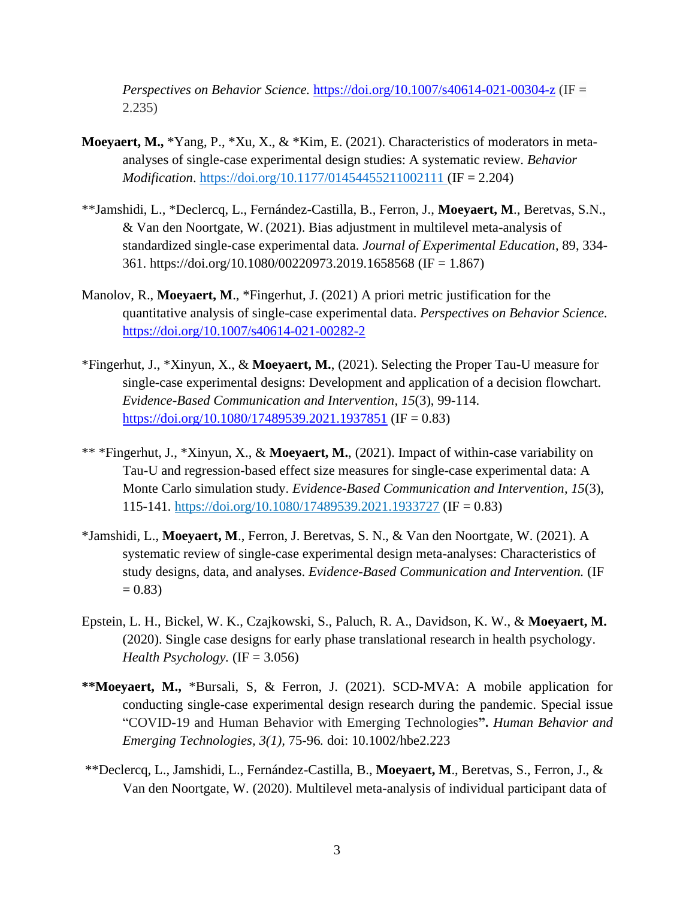*[Perspectives on Behavior Science.](https://www.springer.com/journal/40614/)* <https://doi.org/10.1007/s40614-021-00304-z> (IF = 2.235)

- **Moeyaert, M.,** \*Yang, P., \*Xu, X., & \*Kim, E. (2021). Characteristics of moderators in metaanalyses of single-case experimental design studies: A systematic review. *Behavior Modification*. <https://doi.org/10.1177/01454455211002111> (IF = 2.204)
- \*\*Jamshidi, L., \*Declercq, L., Fernández-Castilla, B., Ferron, J., **Moeyaert, M**., Beretvas, S.N., & Van den Noortgate, W. (2021). Bias adjustment in multilevel meta-analysis of standardized single-case experimental data. *Journal of Experimental Education*, 89, 334- 361. https://doi.org/10.1080/00220973.2019.1658568 (IF = 1.867)
- Manolov, R., **Moeyaert, M**., \*Fingerhut, J. (2021) A priori metric justification for the quantitative analysis of single-case experimental data. *Perspectives on Behavior Science.*  <https://doi.org/10.1007/s40614-021-00282-2>
- \*Fingerhut, J., \*Xinyun, X., & **Moeyaert, M.**, (2021). Selecting the Proper Tau-U measure for single-case experimental designs: Development and application of a decision flowchart. *Evidence-Based Communication and Intervention, 15*(3), 99-114. <https://doi.org/10.1080/17489539.2021.1937851> (IF = 0.83)
- \*\* \*Fingerhut, J., \*Xinyun, X., & **Moeyaert, M.**, (2021). Impact of within-case variability on Tau-U and regression-based effect size measures for single-case experimental data: A Monte Carlo simulation study. *Evidence-Based Communication and Intervention, 15*(3), 115-141*.* <https://doi.org/10.1080/17489539.2021.1933727> (IF = 0.83)
- \*Jamshidi, L., **Moeyaert, M**., Ferron, J. Beretvas, S. N., & Van den Noortgate, W. (2021). A systematic review of single-case experimental design meta-analyses: Characteristics of study designs, data, and analyses. *Evidence-Based Communication and Intervention.* (IF  $= 0.83$
- Epstein, L. H., Bickel, W. K., Czajkowski, S., Paluch, R. A., Davidson, K. W., & **Moeyaert, M.** (2020). Single case designs for early phase translational research in health psychology. *Health Psychology.* (IF = 3.056)
- **\*\*Moeyaert, M.,** \*Bursali, S, & Ferron, J. (2021). SCD-MVA: A mobile application for conducting single-case experimental design research during the pandemic. Special issue "COVID-19 and Human Behavior with Emerging Technologies**".** *Human Behavior and Emerging Technologies, 3(1),* 75-96*.* doi: 10.1002/hbe2.223
- \*\*Declercq, L., Jamshidi, L., Fernández-Castilla, B., **Moeyaert, M**., Beretvas, S., Ferron, J., & Van den Noortgate, W. (2020). Multilevel meta-analysis of individual participant data of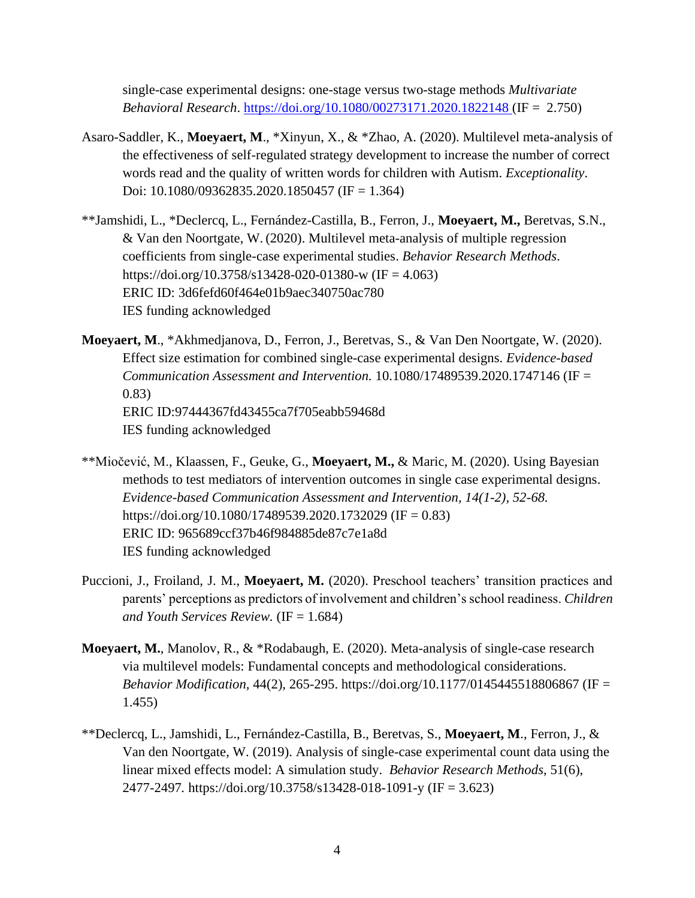single-case experimental designs: one-stage versus two-stage methods *Multivariate Behavioral Research*.<https://doi.org/10.1080/00273171.2020.1822148> (IF = 2.750)

- Asaro-Saddler, K., **Moeyaert, M**., \*Xinyun, X., & \*Zhao, A. (2020). Multilevel meta-analysis of the effectiveness of self-regulated strategy development to increase the number of correct words read and the quality of written words for children with Autism. *Exceptionality*. Doi: 10.1080/09362835.2020.1850457 (IF = 1.364)
- \*\*Jamshidi, L., \*Declercq, L., Fernández-Castilla, B., Ferron, J., **Moeyaert, M.,** Beretvas, S.N., & Van den Noortgate, W. (2020). Multilevel meta-analysis of multiple regression coefficients from single-case experimental studies. *Behavior Research Methods*. https://doi.org/10.3758/s13428-020-01380-w (IF = 4.063) ERIC ID: 3d6fefd60f464e01b9aec340750ac780 IES funding acknowledged
- **Moeyaert, M**., \*Akhmedjanova, D., Ferron, J., Beretvas, S., & Van Den Noortgate, W. (2020). Effect size estimation for combined single-case experimental designs. *Evidence-based Communication Assessment and Intervention.* 10.1080/17489539.2020.1747146 (IF = 0.83) ERIC ID:97444367fd43455ca7f705eabb59468d IES funding acknowledged
- \*\*Miočević, M., Klaassen, F., Geuke, G., **Moeyaert, M.,** & Maric, M. (2020). Using Bayesian methods to test mediators of intervention outcomes in single case experimental designs. *Evidence-based Communication Assessment and Intervention, 14(1-2), 52-68.*  https://doi.org/10.1080/17489539.2020.1732029 (IF = 0.83) ERIC ID: 965689ccf37b46f984885de87c7e1a8d IES funding acknowledged
- Puccioni, J., Froiland, J. M., **Moeyaert, M.** (2020). Preschool teachers' transition practices and parents' perceptions as predictors of involvement and children's school readiness. *Children and Youth Services Review.* (IF = 1.684)
- **Moeyaert, M.**, Manolov, R., & \*Rodabaugh, E. (2020). Meta-analysis of single-case research via multilevel models: Fundamental concepts and methodological considerations. *Behavior Modification,* 44(2), 265-295. [https://doi.org/10.1177/0145445518806867](https://doi.org/10.1177%2F0145445518806867) (IF = 1.455)
- \*\*Declercq, L., Jamshidi, L., Fernández-Castilla, B., Beretvas, S., **Moeyaert, M**., Ferron, J., & Van den Noortgate, W. (2019). Analysis of single-case experimental count data using the linear mixed effects model: A simulation study. *Behavior Research Methods*, 51(6), 2477-2497*.* https://doi.org/10.3758/s13428-018-1091-y (IF = 3.623)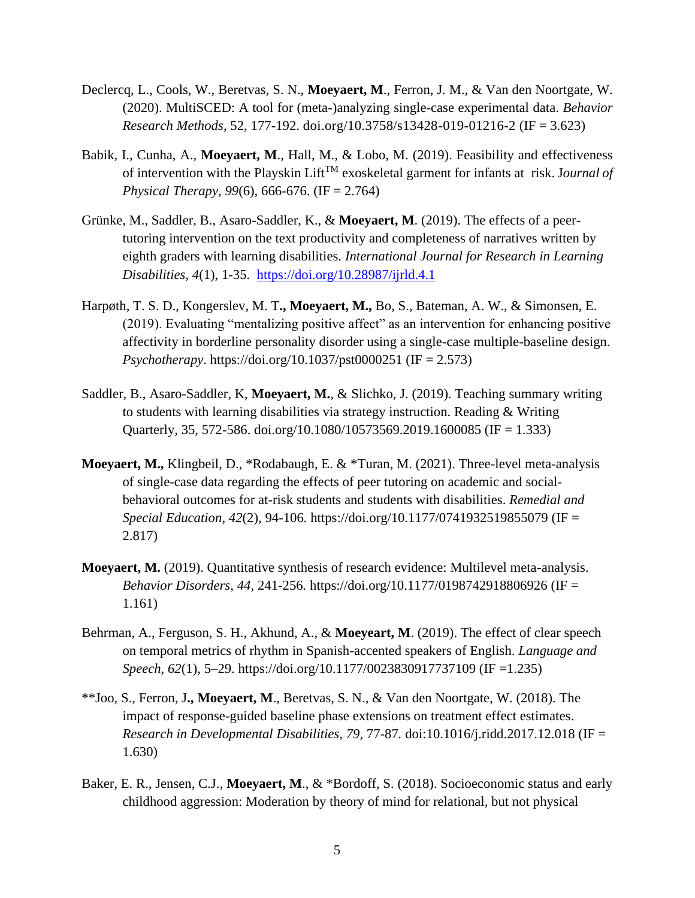- Declercq, L., Cools, W., Beretvas, S. N., **Moeyaert, M**., Ferron, J. M., & Van den Noortgate, W. (2020). MultiSCED: A tool for (meta-)analyzing single-case experimental data. *Behavior Research Methods*, 52, 177-192. doi.org/10.3758/s13428-019-01216-2 (IF = 3.623)
- Babik, I., Cunha, A., **Moeyaert, M**., Hall, M., & Lobo, M. (2019). Feasibility and effectiveness of intervention with the Playskin LiftTM exoskeletal garment for infants at risk. J*ournal of Physical Therapy*, *99*(6), 666-676. (IF = 2.764)
- Grünke, M., Saddler, B., Asaro-Saddler, K., & **Moeyaert, M**. (2019). The effects of a peertutoring intervention on the text productivity and completeness of narratives written by eighth graders with learning disabilities. *International Journal for Research in Learning Disabilities, 4*(1), 1-35. <https://doi.org/10.28987/ijrld.4.1>
- Harpøth, T. S. D., Kongerslev, M. T**., Moeyaert, M.,** Bo, S., Bateman, A. W., & Simonsen, E. (2019). Evaluating "mentalizing positive affect" as an intervention for enhancing positive affectivity in borderline personality disorder using a single-case multiple-baseline design. *Psychotherapy*. https://doi.org/10.1037/pst0000251 (IF = 2.573)
- Saddler, B., Asaro-Saddler, K, **Moeyaert, M.**, & Slichko, J. (2019). Teaching summary writing to students with learning disabilities via strategy instruction. Reading & Writing Quarterly, 35, 572-586. [doi.org/10.1080/10573569.2019.1600085](https://doi.org/10.1080/10573569.2019.1600085) (IF = 1.333)
- **Moeyaert, M.,** Klingbeil, D., \*Rodabaugh, E. & \*Turan, M. (2021). Three-level meta-analysis of single-case data regarding the effects of peer tutoring on academic and socialbehavioral outcomes for at-risk students and students with disabilities. *Remedial and Special Education, 42*(2), 94-106*.* <https://doi.org/10.1177/0741932519855079> (IF = 2.817)
- **Moeyaert, M.** (2019). Quantitative synthesis of research evidence: Multilevel meta-analysis. *Behavior Disorders*, *44,* 241-256*.* [https://doi.org/10.1177/0198742918806926](https://doi.org/10.1177%2F0198742918806926) (IF = 1.161)
- Behrman, A., Ferguson, S. H., Akhund, A., & **Moeyeart, M**. (2019). The effect of clear speech on temporal metrics of rhythm in Spanish-accented speakers of English. *Language and Speech*, *62*(1), 5–29. https://doi.org/10.1177/0023830917737109 (IF =1.235)
- \*\*Joo, S., Ferron, J**., Moeyaert, M**., Beretvas, S. N., & Van den Noortgate, W. (2018). The impact of response-guided baseline phase extensions on treatment effect estimates. *Research in Developmental Disabilities, 79,* 77-87*.* doi:10.1016/j.ridd.2017.12.018 (IF = 1.630)
- Baker, E. R., Jensen, C.J., **Moeyaert, M**., & \*Bordoff, S. (2018). Socioeconomic status and early childhood aggression: Moderation by theory of mind for relational, but not physical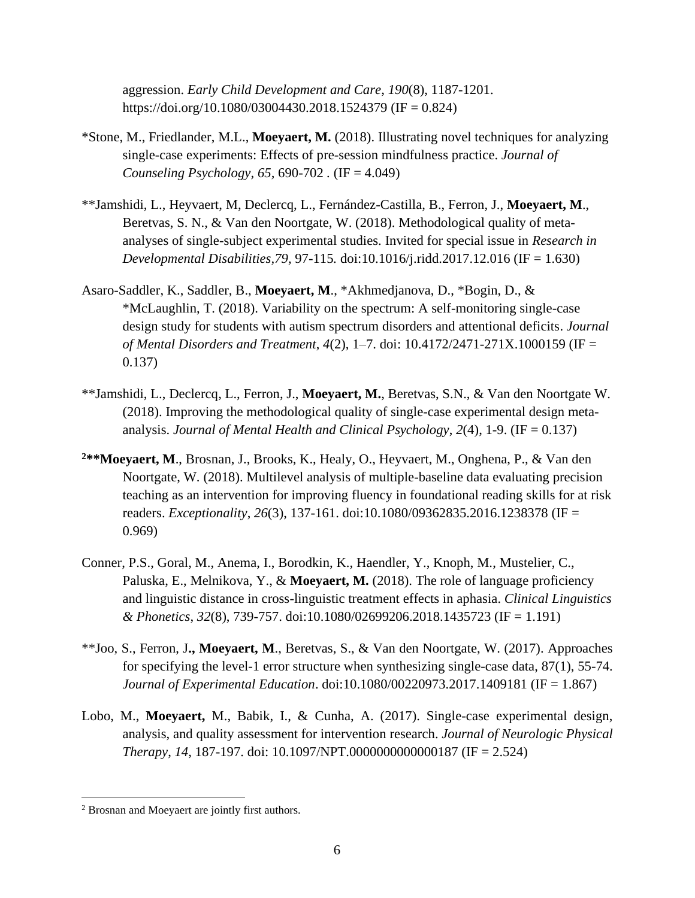aggression. *Early Child Development and Care*, *190*(8), 1187-1201. https://doi.org/10.1080/03004430.2018.1524379 (IF = 0.824)

- \*Stone, M., Friedlander, M.L., **Moeyaert, M.** (2018). Illustrating novel techniques for analyzing single-case experiments: Effects of pre-session mindfulness practice. *Journal of Counseling Psychology, 65,* 690-702 *.* (IF = 4.049)
- \*\*Jamshidi, L., Heyvaert, M, Declercq, L., Fernández-Castilla, B., Ferron, J., **Moeyaert, M**., Beretvas, S. N., & Van den Noortgate, W. (2018). Methodological quality of metaanalyses of single-subject experimental studies. Invited for special issue in *Research in Developmental Disabilities,79,* 97-115*.* doi:10.1016/j.ridd.2017.12.016 (IF = 1.630)
- Asaro-Saddler, K., Saddler, B., **Moeyaert, M**., \*Akhmedjanova, D., \*Bogin, D., & \*McLaughlin, T. (2018). Variability on the spectrum: A self-monitoring single-case design study for students with autism spectrum disorders and attentional deficits. *Journal of Mental Disorders and Treatment*, *4*(2), 1–7. doi: 10.4172/2471-271X.1000159 (IF = 0.137)
- \*\*Jamshidi, L., Declercq, L., Ferron, J., **Moeyaert, M.**, Beretvas, S.N., & Van den Noortgate W. (2018). Improving the methodological quality of single-case experimental design metaanalysis. *Journal of Mental Health and Clinical Psychology*, *2*(4), 1-9. (IF = 0.137)
- **<sup>2</sup>\*\*Moeyaert, M**., Brosnan, J., Brooks, K., Healy, O., Heyvaert, M., Onghena, P., & Van den Noortgate, W. (2018). Multilevel analysis of multiple-baseline data evaluating precision teaching as an intervention for improving fluency in foundational reading skills for at risk readers. *Exceptionality*, *26*(3), 137-161. [doi:10.1080/09362835.2016.1238378](http://dx.doi.org/10.1080/09362835.2016.1238378) (IF = 0.969)
- Conner, P.S., Goral, M., Anema, I., Borodkin, K., Haendler, Y., Knoph, M., Mustelier, C., Paluska, E., Melnikova, Y., & **Moeyaert, M.** (2018). The role of language proficiency and linguistic distance in cross-linguistic treatment effects in aphasia. *Clinical Linguistics & Phonetics*, *32*(8), 739-757. doi:10.1080/02699206.2018.1435723 (IF = 1.191)
- \*\*Joo, S., Ferron, J**., Moeyaert, M**., Beretvas, S., & Van den Noortgate, W. (2017). Approaches for specifying the level-1 error structure when synthesizing single-case data, 87(1), 55-74. *Journal of Experimental Education*. [doi:10.1080/00220973.2017.1409181](https://doi.org/10.1080/00220973.2017.1409181) (IF = 1.867)
- Lobo, M., **Moeyaert,** M., Babik, I., & Cunha, A. (2017). Single-case experimental design, analysis, and quality assessment for intervention research. *Journal of Neurologic Physical Therapy*, *14*, 187-197. doi: 10.1097/NPT.0000000000000187 (IF = 2.524)

<sup>2</sup> Brosnan and Moeyaert are jointly first authors.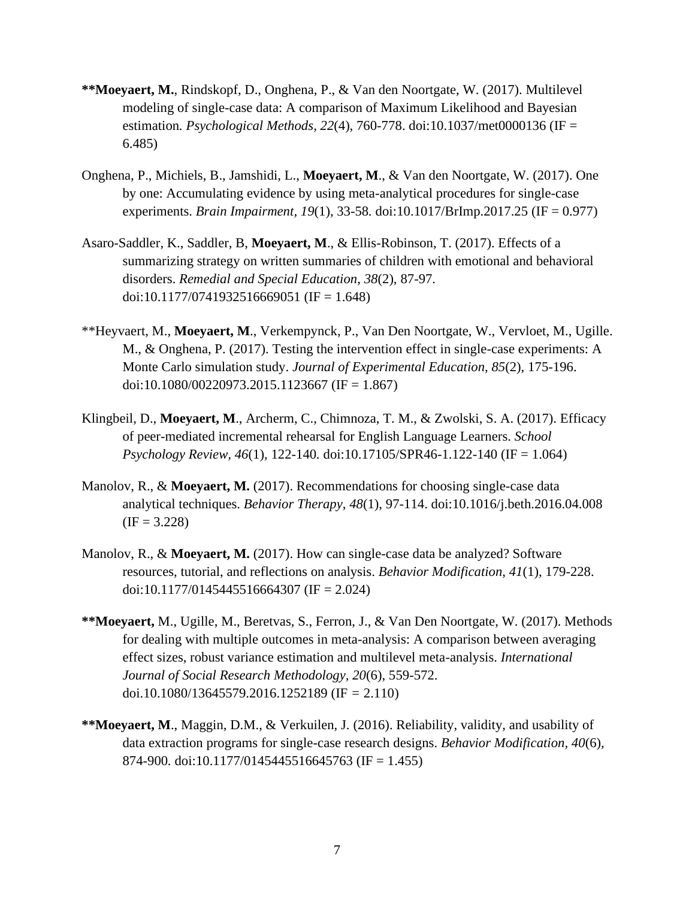- **\*\*Moeyaert, M.**, Rindskopf, D., Onghena, P., & Van den Noortgate, W. (2017). Multilevel modeling of single-case data: A comparison of Maximum Likelihood and Bayesian estimation*. Psychological Methods, 22*(4), 760-778. doi:10.1037/met0000136 (IF = 6.485)
- Onghena, P., Michiels, B., Jamshidi, L., **Moeyaert, M**., & Van den Noortgate, W. (2017). One by one: Accumulating evidence by using meta-analytical procedures for single-case experiments. *Brain Impairment, 19*(1), 33-58*.* doi:10.1017/BrImp.2017.25 (IF = 0.977)
- Asaro-Saddler, K., Saddler, B, **Moeyaert, M**., & Ellis-Robinson, T. (2017). Effects of a summarizing strategy on written summaries of children with emotional and behavioral disorders. *Remedial and Special Education*, *38*(2), 87-97. doi:10.1177/0741932516669051 (IF = 1.648)
- \*\*Heyvaert, M., **Moeyaert, M**., Verkempynck, P., Van Den Noortgate, W., Vervloet, M., Ugille. M., & Onghena, P. (2017). Testing the intervention effect in single-case experiments: A Monte Carlo simulation study. *Journal of Experimental Education*, *85*(2), 175-196. doi[:10.1080/00220973.2015.1123667](https://doi.org/10.1080/00220973.2015.1123667) (IF = 1.867)
- Klingbeil, D., **Moeyaert, M**., Archerm, C., Chimnoza, T. M., & Zwolski, S. A. (2017). Efficacy of peer-mediated incremental rehearsal for English Language Learners. *School Psychology Review, 46*(1)*,* 122-140*.* doi[:10.17105/SPR46-1.122-140](https://doi.org/10.17105/SPR46-1.122-140) (IF = 1.064)
- Manolov, R., & **Moeyaert, M.** (2017). Recommendations for choosing single-case data analytical techniques. *Behavior Therapy*, *48*(1), 97-114. doi:10.1016/j.beth.2016.04.008  $(IF = 3.228)$
- Manolov, R., & **Moeyaert, M.** (2017). How can single-case data be analyzed? Software resources, tutorial, and reflections on analysis. *Behavior Modification, 41*(1)*,* 179-228. doi:10.1177/0145445516664307 (IF = 2.024)
- **\*\*Moeyaert,** M., Ugille, M., Beretvas, S., Ferron, J., & Van Den Noortgate, W. (2017). Methods for dealing with multiple outcomes in meta-analysis: A comparison between averaging effect sizes, robust variance estimation and multilevel meta-analysis. *International Journal of Social Research Methodology, 20*(6), 559-572. doi.10.1080/13645579.2016.1252189 (IF *=* 2.110)
- **\*\*Moeyaert, M**., Maggin, D.M., & Verkuilen, J. (2016). Reliability, validity, and usability of data extraction programs for single-case research designs. *Behavior Modification, 40*(6)*,*  874-900*.* doi:10.1177/0145445516645763 (IF = 1.455)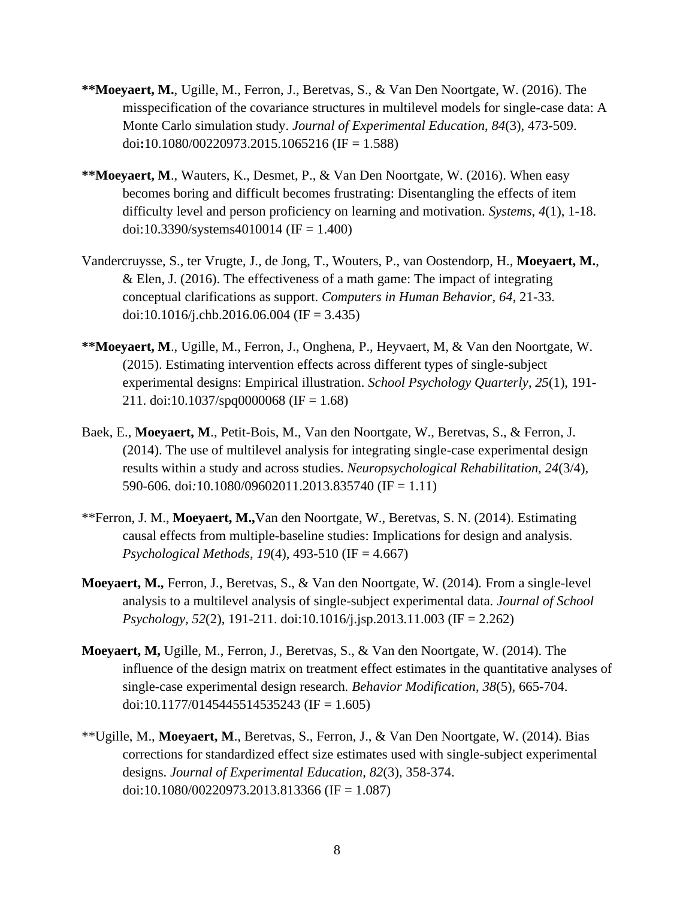- **\*\*Moeyaert, M.**, Ugille, M., Ferron, J., Beretvas, S., & Van Den Noortgate, W. (2016). The misspecification of the covariance structures in multilevel models for single-case data: A Monte Carlo simulation study. *Journal of Experimental Education*, *84*(3), 473-509. doi**:**10.1080/00220973.2015.1065216 (IF = 1.588)
- **\*\*Moeyaert, M**., Wauters, K., Desmet, P., & Van Den Noortgate, W. (2016). When easy becomes boring and difficult becomes frustrating: Disentangling the effects of item difficulty level and person proficiency on learning and motivation. *Systems*, *4*(1), 1-18. doi[:10.3390/systems4010014](http://dx.doi.org/10.3390/systems4010014) (IF = 1.400)
- Vandercruysse, S., ter Vrugte, J., de Jong, T., Wouters, P., van Oostendorp, H., **Moeyaert, M.**, & Elen, J. (2016). The effectiveness of a math game: The impact of integrating conceptual clarifications as support. *Computers in Human Behavior*, *64*, 21-33. doi[:10.1016/j.chb.2016.06.004](https://doi.org/10.1016/j.chb.2016.06.004) (IF = 3.435)
- **\*\*Moeyaert, M**., Ugille, M., Ferron, J., Onghena, P., Heyvaert, M, & Van den Noortgate, W. (2015). Estimating intervention effects across different types of single-subject experimental designs: Empirical illustration. *School Psychology Quarterly*, *25*(1), 191- 211. doi:10.1037/spq0000068 (IF = 1.68)
- Baek, E., **Moeyaert, M**., Petit-Bois, M., Van den Noortgate, W., Beretvas, S., & Ferron, J. (2014). The use of multilevel analysis for integrating single-case experimental design results within a study and across studies. *Neuropsychological Rehabilitation, 24*(3/4)*,*  590-606*.* doi*:*10.1080/09602011.2013.835740 (IF = 1.11)
- \*\*Ferron, J. M., **Moeyaert, M.,**Van den Noortgate, W., Beretvas, S. N. (2014). Estimating causal effects from multiple-baseline studies: Implications for design and analysis. *Psychological Methods*, *19*(4), 493-510 (IF = 4.667)
- **Moeyaert, M.,** Ferron, J., Beretvas, S., & Van den Noortgate, W. (2014)*.* From a single-level analysis to a multilevel analysis of single-subject experimental data*. Journal of School Psychology, 52*(2), 191-211. doi[:10.1016/j.jsp.2013.11.003](http://dx.doi.org/10.1016/j.jsp.2013.11.003) (IF = 2.262)
- **Moeyaert, M,** Ugille, M., Ferron, J., Beretvas, S., & Van den Noortgate, W. (2014). The influence of the design matrix on treatment effect estimates in the quantitative analyses of single-case experimental design research*. Behavior Modification*, *38*(5), 665-704. doi:10.1177/0145445514535243 (IF = 1.605)
- \*\*Ugille, M., **Moeyaert, M**., Beretvas, S., Ferron, J., & Van Den Noortgate, W. (2014). Bias corrections for standardized effect size estimates used with single-subject experimental designs. *Journal of Experimental Education, 82*(3)*,* 358-374. doi:10.1080/00220973.2013.813366 (IF = 1.087)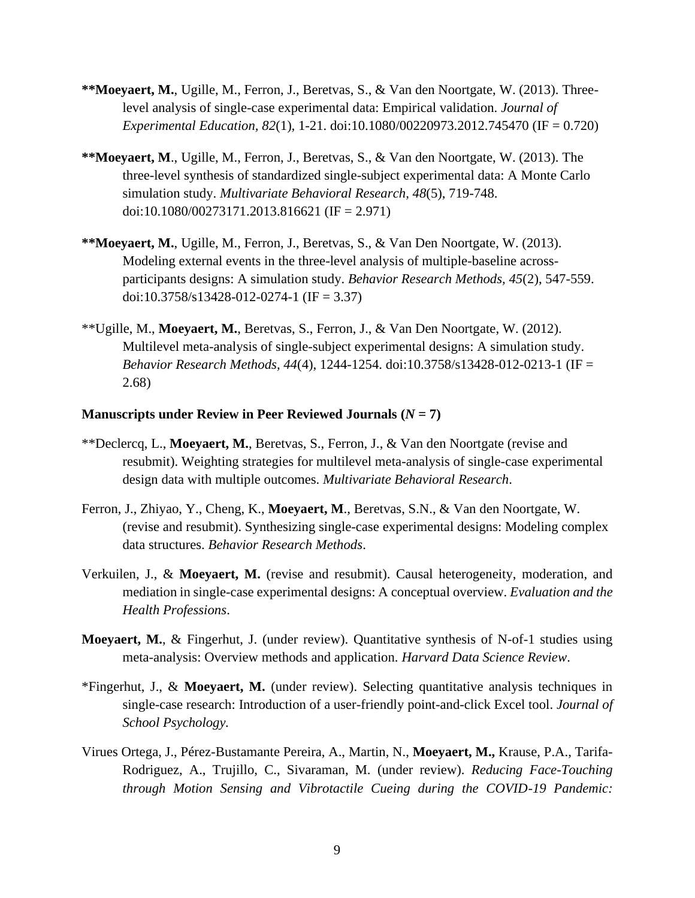- **\*\*Moeyaert, M.**, Ugille, M., Ferron, J., Beretvas, S., & Van den Noortgate, W. (2013). Threelevel analysis of single-case experimental data: Empirical validation. *Journal of Experimental Education, 82*(1)*,* 1-21. doi:10.1080/00220973.2012.745470 (IF = 0.720)
- **\*\*Moeyaert, M**., Ugille, M., Ferron, J., Beretvas, S., & Van den Noortgate, W. (2013). The three-level synthesis of standardized single-subject experimental data: A Monte Carlo simulation study. *Multivariate Behavioral Research, 48*(5), 719-748. doi:10.1080/00273171.2013.816621 (IF = 2.971)
- **\*\*Moeyaert, M.**, Ugille, M., Ferron, J., Beretvas, S., & Van Den Noortgate, W. (2013). Modeling external events in the three-level analysis of multiple-baseline acrossparticipants designs: A simulation study. *Behavior Research Methods, 45*(2), 547-559. doi:10.3758/s13428-012-0274-1 (IF = 3.37)
- \*\*Ugille, M., **Moeyaert, M.**, Beretvas, S., Ferron, J., & Van Den Noortgate, W. (2012). Multilevel meta-analysis of single-subject experimental designs: A simulation study. *Behavior Research Methods, 44*(4), 1244-1254. doi:10.3758/s13428-012-0213-1 (IF = 2.68)

#### **Manuscripts under Review in Peer Reviewed Journals**  $(N = 7)$

- \*\*Declercq, L., **Moeyaert, M.**, Beretvas, S., Ferron, J., & Van den Noortgate (revise and resubmit). Weighting strategies for multilevel meta-analysis of single-case experimental design data with multiple outcomes. *Multivariate Behavioral Research*.
- Ferron, J., Zhiyao, Y., Cheng, K., **Moeyaert, M**., Beretvas, S.N., & Van den Noortgate, W. (revise and resubmit). Synthesizing single-case experimental designs: Modeling complex data structures. *Behavior Research Methods*.
- Verkuilen, J., & **Moeyaert, M.** (revise and resubmit). Causal heterogeneity, moderation, and mediation in single-case experimental designs: A conceptual overview. *Evaluation and the Health Professions*.
- **Moeyaert, M.**, & Fingerhut, J. (under review). Quantitative synthesis of N-of-1 studies using meta-analysis: Overview methods and application. *Harvard Data Science Review*.
- \*Fingerhut, J., & **Moeyaert, M.** (under review). Selecting quantitative analysis techniques in single-case research: Introduction of a user-friendly point-and-click Excel tool. *Journal of School Psychology.*
- Virues Ortega, J., Pérez-Bustamante Pereira, A., Martin, N., **Moeyaert, M.,** Krause, P.A., Tarifa-Rodriguez, A., Trujillo, C., Sivaraman, M. (under review). *Reducing Face-Touching through Motion Sensing and Vibrotactile Cueing during the COVID-19 Pandemic:*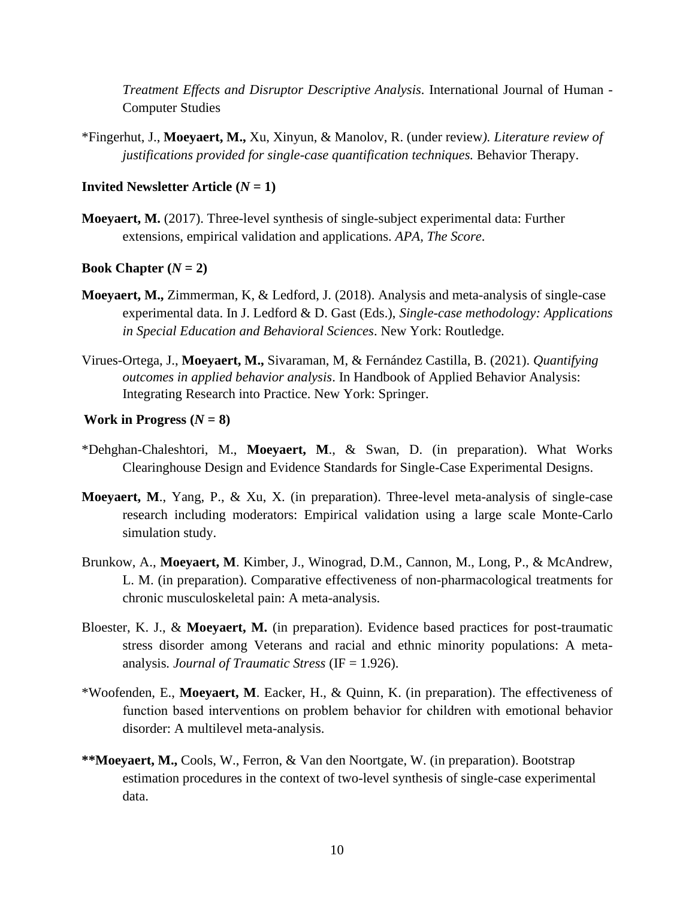*Treatment Effects and Disruptor Descriptive Analysis.* International Journal of Human - Computer Studies

\*Fingerhut, J., **Moeyaert, M.,** Xu, Xinyun, & Manolov, R. (under review*). Literature review of justifications provided for single-case quantification techniques.* Behavior Therapy.

### **Invited Newsletter Article**  $(N = 1)$

**Moeyaert, M.** (2017). Three-level synthesis of single-subject experimental data: Further extensions, empirical validation and applications. *APA, The Score*.

### **Book Chapter**  $(N = 2)$

- **Moeyaert, M.,** Zimmerman, K, & Ledford, J. (2018). Analysis and meta-analysis of single-case experimental data. In J. Ledford & D. Gast (Eds.), *Single-case methodology: Applications in Special Education and Behavioral Sciences*. New York: Routledge.
- Virues-Ortega, J., **Moeyaert, M.,** Sivaraman, M, & Fernández Castilla, B. (2021). *Quantifying outcomes in applied behavior analysis*. In Handbook of Applied Behavior Analysis: Integrating Research into Practice. New York: Springer.

### **Work in Progress**  $(N = 8)$

- \*Dehghan-Chaleshtori, M., **Moeyaert, M**., & Swan, D. (in preparation). What Works Clearinghouse Design and Evidence Standards for Single-Case Experimental Designs.
- **Moeyaert, M**., Yang, P., & Xu, X. (in preparation). Three-level meta-analysis of single-case research including moderators: Empirical validation using a large scale Monte-Carlo simulation study.
- Brunkow, A., **Moeyaert, M**. Kimber, J., Winograd, D.M., Cannon, M., Long, P., & McAndrew, L. M. (in preparation). Comparative effectiveness of non-pharmacological treatments for chronic musculoskeletal pain: A meta-analysis.
- Bloester, K. J., & **Moeyaert, M.** (in preparation). Evidence based practices for post-traumatic stress disorder among Veterans and racial and ethnic minority populations: A metaanalysis*. Journal of Traumatic Stress* (IF = 1.926).
- \*Woofenden, E., **Moeyaert, M**. Eacker, H., & Quinn, K. (in preparation). The effectiveness of function based interventions on problem behavior for children with emotional behavior disorder: A multilevel meta-analysis.
- **\*\*Moeyaert, M.,** Cools, W., Ferron, & Van den Noortgate, W. (in preparation). Bootstrap estimation procedures in the context of two-level synthesis of single-case experimental data.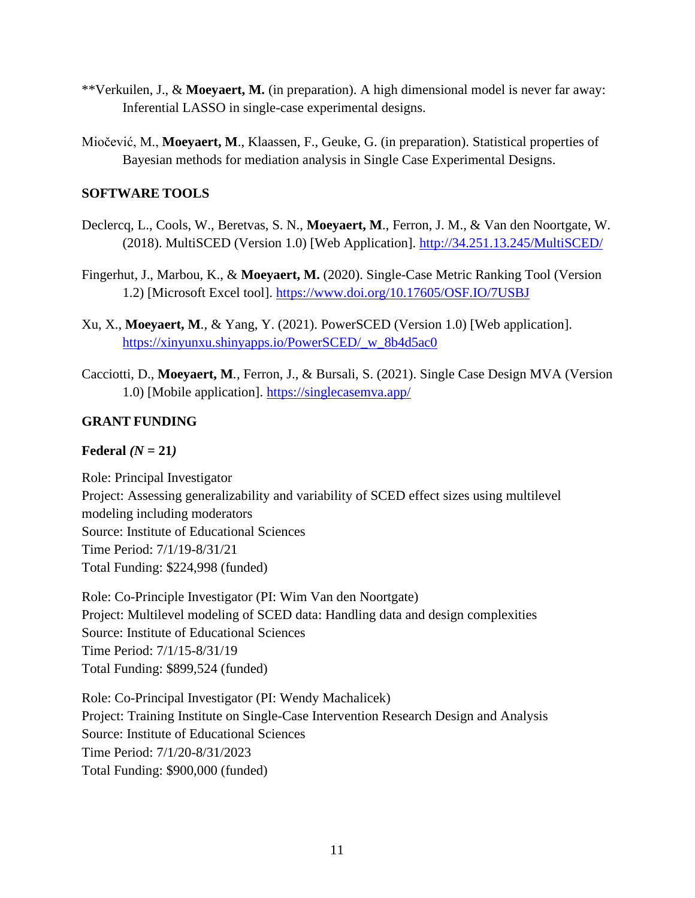- \*\*Verkuilen, J., & **Moeyaert, M.** (in preparation). A high dimensional model is never far away: Inferential LASSO in single-case experimental designs.
- Miočević, M., **Moeyaert, M**., Klaassen, F., Geuke, G. (in preparation). Statistical properties of Bayesian methods for mediation analysis in Single Case Experimental Designs.

# **SOFTWARE TOOLS**

- Declercq, L., Cools, W., Beretvas, S. N., **Moeyaert, M**., Ferron, J. M., & Van den Noortgate, W. (2018). MultiSCED (Version 1.0) [Web Application].<http://34.251.13.245/MultiSCED/>
- Fingerhut, J., Marbou, K., & **Moeyaert, M.** (2020). Single-Case Metric Ranking Tool (Version 1.2) [Microsoft Excel tool].<https://www.doi.org/10.17605/OSF.IO/7USBJ>
- Xu, X., **Moeyaert, M***.,* & Yang, Y. (2021). PowerSCED (Version 1.0) [Web application]. [https://xinyunxu.shinyapps.io/PowerSCED/\\_w\\_8b4d5ac0](https://xinyunxu.shinyapps.io/PowerSCED/_w_8b4d5ac0)
- Cacciotti, D., **Moeyaert, M***.,* Ferron, J., & Bursali, S. (2021). Single Case Design MVA (Version 1.0) [Mobile application].<https://singlecasemva.app/>

# **GRANT FUNDING**

# **Federal** *(N =* **21***)*

Role: Principal Investigator Project: Assessing generalizability and variability of SCED effect sizes using multilevel modeling including moderators Source: Institute of Educational Sciences Time Period: 7/1/19-8/31/21 Total Funding: \$224,998 (funded)

Role: Co-Principle Investigator (PI: Wim Van den Noortgate) Project: Multilevel modeling of SCED data: Handling data and design complexities Source: Institute of Educational Sciences Time Period: 7/1/15-8/31/19 Total Funding: \$899,524 (funded)

Role: Co-Principal Investigator (PI: Wendy Machalicek) Project: Training Institute on Single-Case Intervention Research Design and Analysis Source: Institute of Educational Sciences Time Period: 7/1/20-8/31/2023 Total Funding: \$900,000 (funded)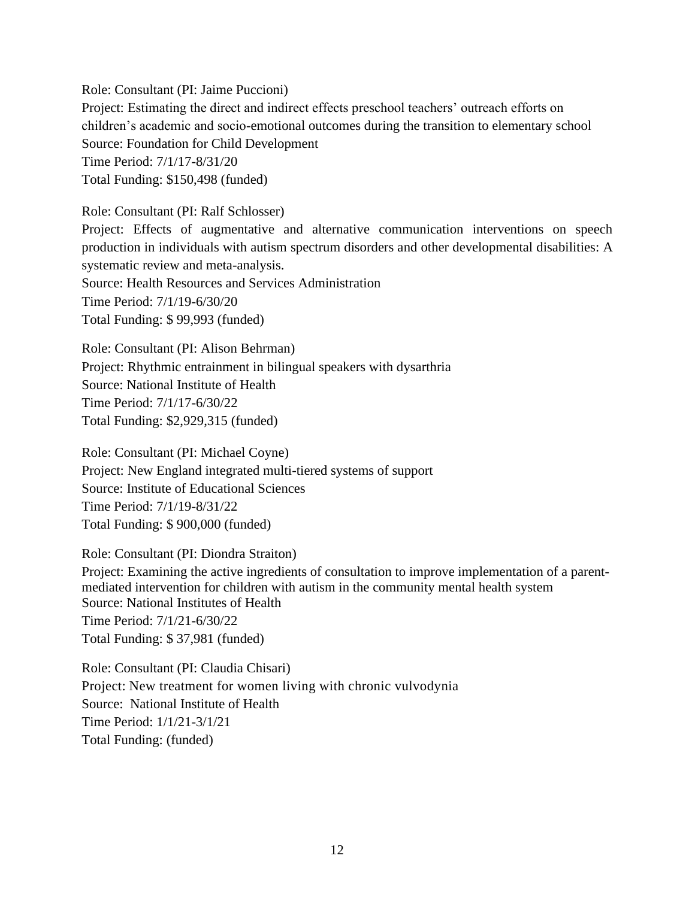Role: Consultant (PI: Jaime Puccioni) Project: Estimating the direct and indirect effects preschool teachers' outreach efforts on children's academic and socio-emotional outcomes during the transition to elementary school Source: Foundation for Child Development Time Period: 7/1/17-8/31/20 Total Funding: \$150,498 (funded)

Role: Consultant (PI: Ralf Schlosser) Project: Effects of augmentative and alternative communication interventions on speech production in individuals with autism spectrum disorders and other developmental disabilities: A systematic review and meta-analysis. Source: Health Resources and Services Administration Time Period: 7/1/19-6/30/20 Total Funding: \$ 99,993 (funded)

Role: Consultant (PI: Alison Behrman) Project: Rhythmic entrainment in bilingual speakers with dysarthria Source: National Institute of Health Time Period: 7/1/17-6/30/22 Total Funding: \$2,929,315 (funded)

Role: Consultant (PI: Michael Coyne) Project: New England integrated multi-tiered systems of support Source: Institute of Educational Sciences Time Period: 7/1/19-8/31/22 Total Funding: \$ 900,000 (funded)

Role: Consultant (PI: Diondra Straiton)

Project: Examining the active ingredients of consultation to improve implementation of a parentmediated intervention for children with autism in the community mental health system Source: National Institutes of Health Time Period: 7/1/21-6/30/22 Total Funding: \$ 37,981 (funded)

Role: Consultant (PI: Claudia Chisari) Project: New treatment for women living with chronic vulvodynia Source: National Institute of Health Time Period: 1/1/21-3/1/21 Total Funding: (funded)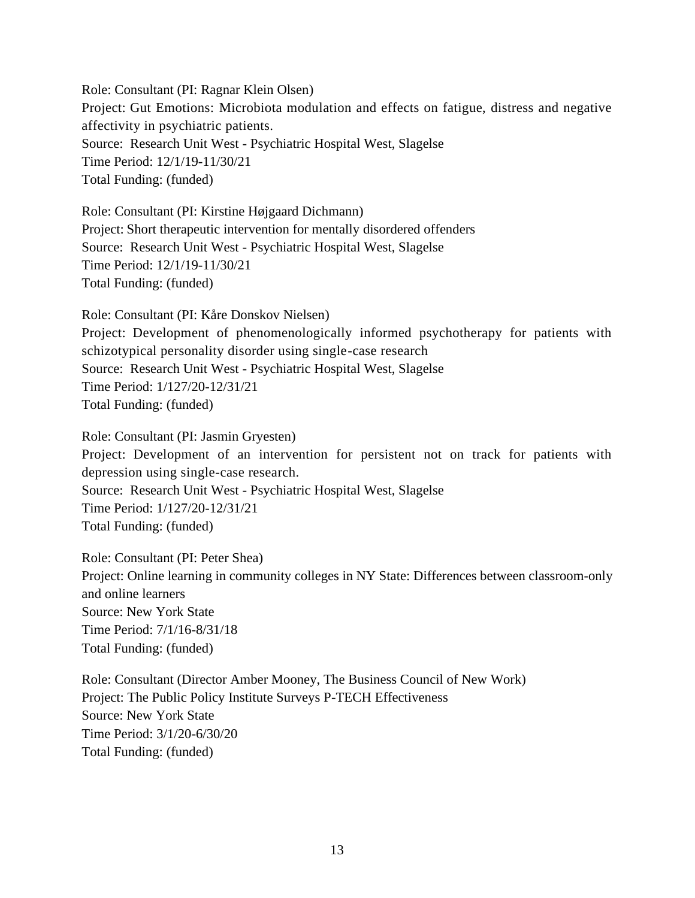Role: Consultant (PI: Ragnar Klein Olsen) Project: Gut Emotions: Microbiota modulation and effects on fatigue, distress and negative affectivity in psychiatric patients. Source: Research Unit West - Psychiatric Hospital West, Slagelse Time Period: 12/1/19-11/30/21 Total Funding: (funded)

Role: Consultant (PI: Kirstine Højgaard Dichmann) Project: Short therapeutic intervention for mentally disordered offenders Source: Research Unit West - Psychiatric Hospital West, Slagelse Time Period: 12/1/19-11/30/21 Total Funding: (funded)

Role: Consultant (PI: Kåre Donskov Nielsen) Project: Development of phenomenologically informed psychotherapy for patients with schizotypical personality disorder using single-case research Source: Research Unit West - Psychiatric Hospital West, Slagelse Time Period: 1/127/20-12/31/21 Total Funding: (funded)

Role: Consultant (PI: Jasmin Gryesten) Project: Development of an intervention for persistent not on track for patients with depression using single-case research. Source: Research Unit West - Psychiatric Hospital West, Slagelse Time Period: 1/127/20-12/31/21 Total Funding: (funded)

Role: Consultant (PI: Peter Shea) Project: Online learning in community colleges in NY State: Differences between classroom-only and online learners Source: New York State Time Period: 7/1/16-8/31/18 Total Funding: (funded)

Role: Consultant (Director Amber Mooney, The Business Council of New Work) Project: The Public Policy Institute Surveys P-TECH Effectiveness Source: New York State Time Period: 3/1/20-6/30/20 Total Funding: (funded)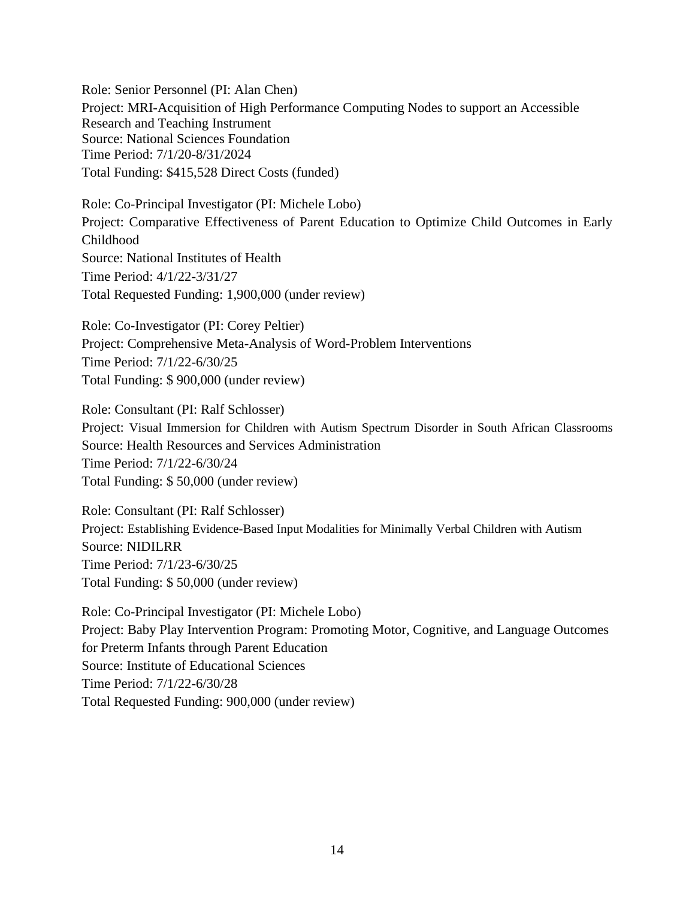Role: Senior Personnel (PI: Alan Chen) Project: MRI-Acquisition of High Performance Computing Nodes to support an Accessible Research and Teaching Instrument Source: National Sciences Foundation Time Period: 7/1/20-8/31/2024 Total Funding: \$415,528 Direct Costs (funded)

Role: Co-Principal Investigator (PI: Michele Lobo) Project: Comparative Effectiveness of Parent Education to Optimize Child Outcomes in Early Childhood Source: National Institutes of Health Time Period: 4/1/22-3/31/27 Total Requested Funding: 1,900,000 (under review)

Role: Co-Investigator (PI: Corey Peltier) Project: Comprehensive Meta-Analysis of Word-Problem Interventions Time Period: 7/1/22-6/30/25 Total Funding: \$ 900,000 (under review)

Role: Consultant (PI: Ralf Schlosser) Project: Visual Immersion for Children with Autism Spectrum Disorder in South African Classrooms Source: Health Resources and Services Administration Time Period: 7/1/22-6/30/24 Total Funding: \$ 50,000 (under review)

Role: Consultant (PI: Ralf Schlosser) Project: Establishing Evidence-Based Input Modalities for Minimally Verbal Children with Autism Source: NIDILRR Time Period: 7/1/23-6/30/25 Total Funding: \$ 50,000 (under review)

Role: Co-Principal Investigator (PI: Michele Lobo) Project: Baby Play Intervention Program: Promoting Motor, Cognitive, and Language Outcomes for Preterm Infants through Parent Education Source: Institute of Educational Sciences Time Period: 7/1/22-6/30/28 Total Requested Funding: 900,000 (under review)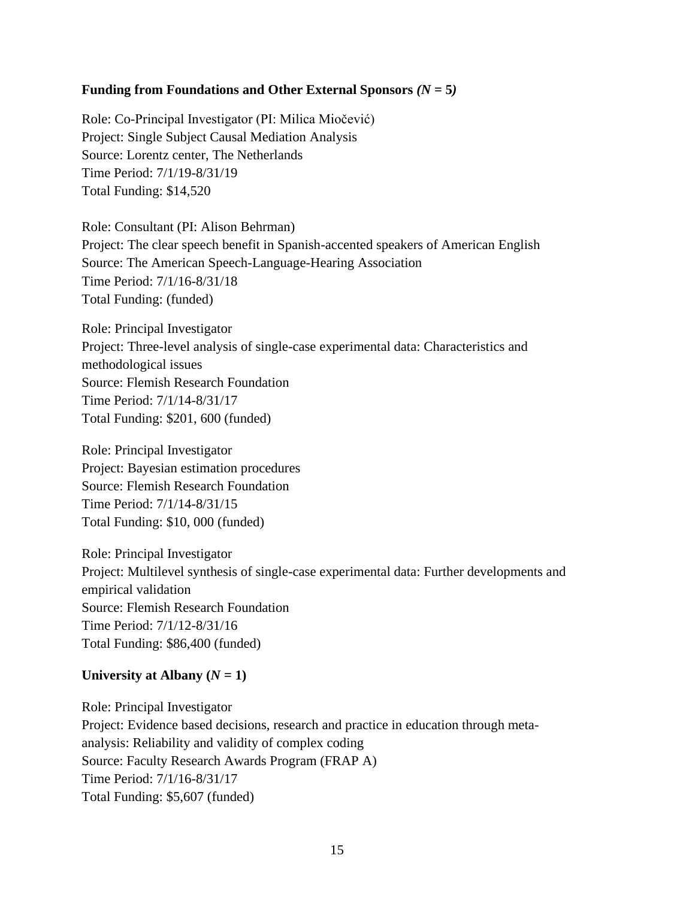# **Funding from Foundations and Other External Sponsors** *(N =* **5***)*

Role: Co-Principal Investigator (PI: Milica Miočević) Project: Single Subject Causal Mediation Analysis Source: Lorentz center, The Netherlands Time Period: 7/1/19-8/31/19 Total Funding: \$14,520

Role: Consultant (PI: Alison Behrman) Project: The clear speech benefit in Spanish-accented speakers of American English Source: The American Speech-Language-Hearing Association Time Period: 7/1/16-8/31/18 Total Funding: (funded)

Role: Principal Investigator Project: Three-level analysis of single-case experimental data: Characteristics and methodological issues Source: Flemish Research Foundation Time Period: 7/1/14-8/31/17 Total Funding: \$201, 600 (funded)

Role: Principal Investigator Project: Bayesian estimation procedures Source: Flemish Research Foundation Time Period: 7/1/14-8/31/15 Total Funding: \$10, 000 (funded)

Role: Principal Investigator Project: Multilevel synthesis of single-case experimental data: Further developments and empirical validation Source: Flemish Research Foundation Time Period: 7/1/12-8/31/16 Total Funding: \$86,400 (funded)

# University at Albany  $(N = 1)$

Role: Principal Investigator Project: Evidence based decisions, research and practice in education through metaanalysis: Reliability and validity of complex coding Source: Faculty Research Awards Program (FRAP A) Time Period: 7/1/16-8/31/17 Total Funding: \$5,607 (funded)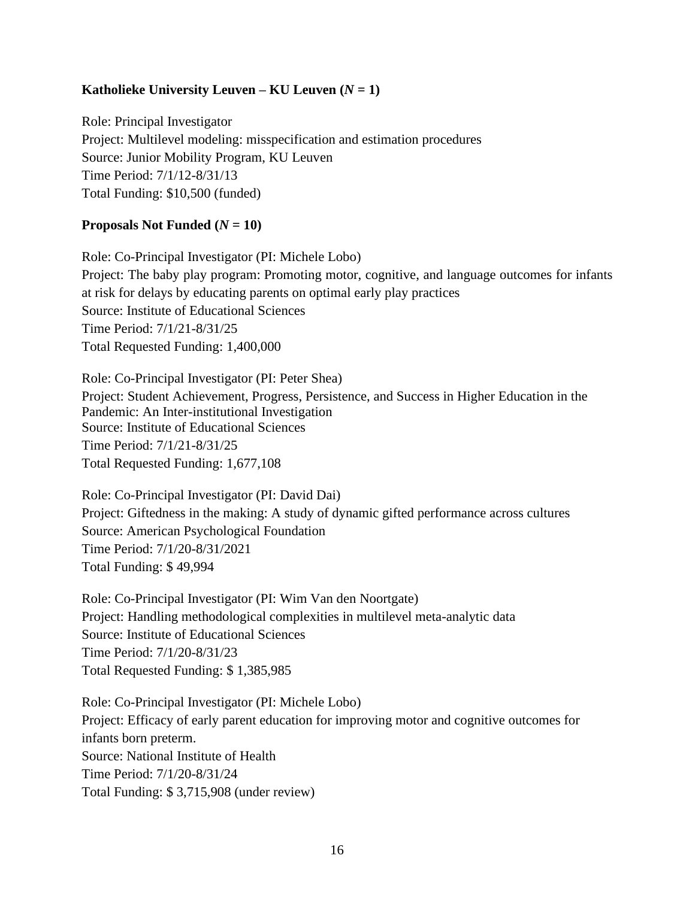# **Katholieke University Leuven – <b>KU Leuven**  $(N = 1)$

Role: Principal Investigator Project: Multilevel modeling: misspecification and estimation procedures Source: Junior Mobility Program, KU Leuven Time Period: 7/1/12-8/31/13 Total Funding: \$10,500 (funded)

# **Proposals Not Funded**  $(N = 10)$

Role: Co-Principal Investigator (PI: Michele Lobo) Project: The baby play program: Promoting motor, cognitive, and language outcomes for infants at risk for delays by educating parents on optimal early play practices Source: Institute of Educational Sciences Time Period: 7/1/21-8/31/25 Total Requested Funding: 1,400,000

Role: Co-Principal Investigator (PI: Peter Shea) Project: Student Achievement, Progress, Persistence, and Success in Higher Education in the Pandemic: An Inter-institutional Investigation Source: Institute of Educational Sciences Time Period: 7/1/21-8/31/25 Total Requested Funding: 1,677,108

Role: Co-Principal Investigator (PI: David Dai) Project: Giftedness in the making: A study of dynamic gifted performance across cultures Source: American Psychological Foundation Time Period: 7/1/20-8/31/2021 Total Funding: \$ 49,994

Role: Co-Principal Investigator (PI: Wim Van den Noortgate) Project: Handling methodological complexities in multilevel meta-analytic data Source: Institute of Educational Sciences Time Period: 7/1/20-8/31/23 Total Requested Funding: \$ 1,385,985

Role: Co-Principal Investigator (PI: Michele Lobo) Project: Efficacy of early parent education for improving motor and cognitive outcomes for infants born preterm. Source: National Institute of Health Time Period: 7/1/20-8/31/24 Total Funding: \$ 3,715,908 (under review)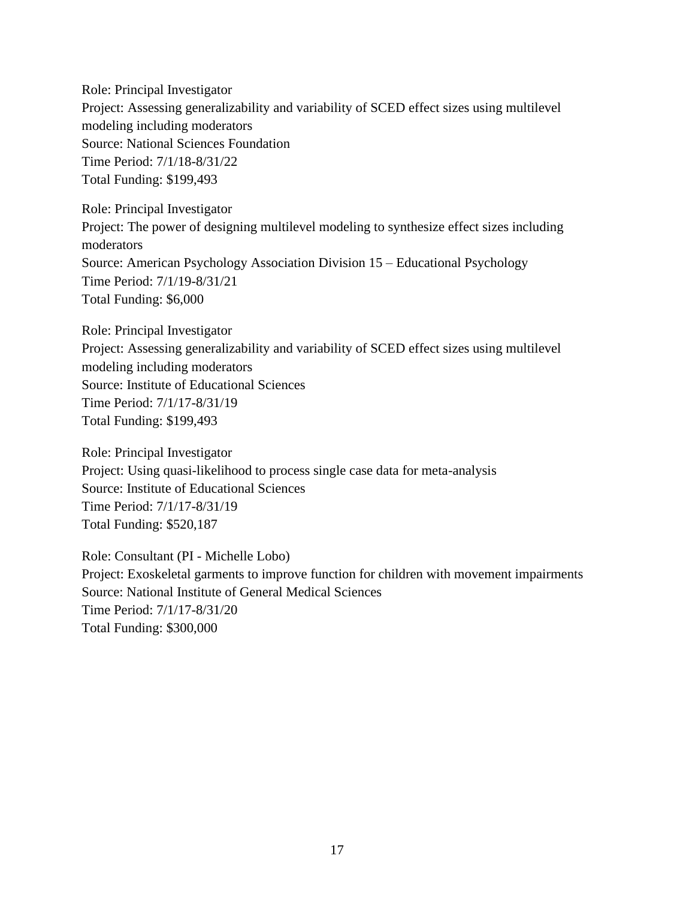Role: Principal Investigator Project: Assessing generalizability and variability of SCED effect sizes using multilevel modeling including moderators Source: National Sciences Foundation Time Period: 7/1/18-8/31/22 Total Funding: \$199,493

Role: Principal Investigator Project: The power of designing multilevel modeling to synthesize effect sizes including moderators Source: American Psychology Association Division 15 – Educational Psychology Time Period: 7/1/19-8/31/21 Total Funding: \$6,000

Role: Principal Investigator Project: Assessing generalizability and variability of SCED effect sizes using multilevel modeling including moderators Source: Institute of Educational Sciences Time Period: 7/1/17-8/31/19 Total Funding: \$199,493

Role: Principal Investigator Project: Using quasi-likelihood to process single case data for meta-analysis Source: Institute of Educational Sciences Time Period: 7/1/17-8/31/19 Total Funding: \$520,187

Role: Consultant (PI - Michelle Lobo) Project: Exoskeletal garments to improve function for children with movement impairments Source: National Institute of General Medical Sciences Time Period: 7/1/17-8/31/20 Total Funding: \$300,000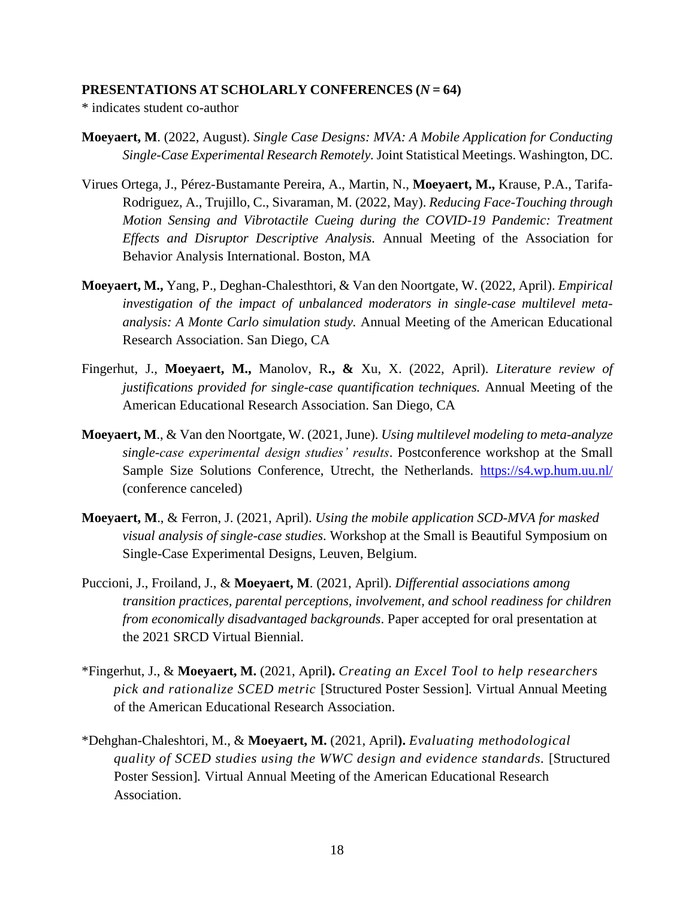#### **PRESENTATIONS AT SCHOLARLY CONFERENCES (***N* **= 64)**

\* indicates student co-author

- **Moeyaert, M**. (2022, August). *Single Case Designs: MVA: A Mobile Application for Conducting Single-Case Experimental Research Remotely.* Joint Statistical Meetings. Washington, DC.
- Virues Ortega, J., Pérez-Bustamante Pereira, A., Martin, N., **Moeyaert, M.,** Krause, P.A., Tarifa-Rodriguez, A., Trujillo, C., Sivaraman, M. (2022, May). *Reducing Face-Touching through Motion Sensing and Vibrotactile Cueing during the COVID-19 Pandemic: Treatment Effects and Disruptor Descriptive Analysis.* Annual Meeting of the Association for Behavior Analysis International. Boston, MA
- **Moeyaert, M.,** Yang, P., Deghan-Chalesthtori, & Van den Noortgate, W. (2022, April). *Empirical investigation of the impact of unbalanced moderators in single-case multilevel metaanalysis: A Monte Carlo simulation study.* Annual Meeting of the American Educational Research Association. San Diego, CA
- Fingerhut, J., **Moeyaert, M.,** Manolov, R**., &** Xu, X. (2022, April). *Literature review of justifications provided for single-case quantification techniques.* Annual Meeting of the American Educational Research Association. San Diego, CA
- **Moeyaert, M**., & Van den Noortgate, W. (2021, June). *Using multilevel modeling to meta-analyze single-case experimental design studies' results*. Postconference workshop at the Small Sample Size Solutions Conference, Utrecht, the Netherlands. <https://s4.wp.hum.uu.nl/> (conference canceled)
- **Moeyaert, M**., & Ferron, J. (2021, April). *Using the mobile application SCD-MVA for masked visual analysis of single-case studies*. Workshop at the Small is Beautiful Symposium on Single-Case Experimental Designs, Leuven, Belgium.
- Puccioni, J., Froiland, J., & **Moeyaert, M**. (2021, April). *Differential associations among transition practices, parental perceptions, involvement, and school readiness for children from economically disadvantaged backgrounds*. Paper accepted for oral presentation at the 2021 SRCD Virtual Biennial.
- \*Fingerhut, J., & **Moeyaert, M.** (2021, April**).** *Creating an Excel Tool to help researchers pick and rationalize SCED metric* [Structured Poster Session]*.* Virtual Annual Meeting of the American Educational Research Association.
- \*Dehghan-Chaleshtori, M., & **Moeyaert, M.** (2021, April**).** *Evaluating methodological quality of SCED studies using the WWC design and evidence standards.* [Structured Poster Session]*.* Virtual Annual Meeting of the American Educational Research Association.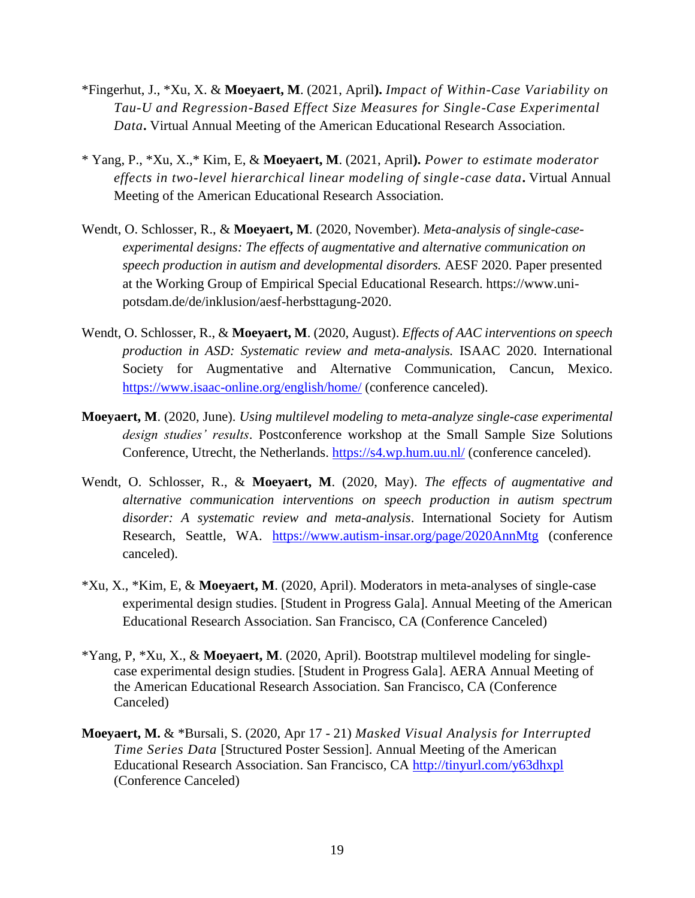- \*Fingerhut, J., \*Xu, X. & **Moeyaert, M**. (2021, April**).** *Impact of Within-Case Variability on Tau-U and Regression-Based Effect Size Measures for Single-Case Experimental Data***.** Virtual Annual Meeting of the American Educational Research Association.
- \* Yang, P., \*Xu, X.,\* Kim, E, & **Moeyaert, M**. (2021, April**).** *Power to estimate moderator effects in two-level hierarchical linear modeling of single-case data***.** Virtual Annual Meeting of the American Educational Research Association.
- Wendt, O. Schlosser, R., & **Moeyaert, M**. (2020, November). *Meta-analysis of single-caseexperimental designs: The effects of augmentative and alternative communication on speech production in autism and developmental disorders.* AESF 2020. Paper presented at the Working Group of Empirical Special Educational Research. [https://www.uni](https://www.uni-potsdam.de/de/inklusion/aesf-herbsttagung-2020)[potsdam.de/de/inklusion/aesf-herbsttagung-2020.](https://www.uni-potsdam.de/de/inklusion/aesf-herbsttagung-2020)
- Wendt, O. Schlosser, R., & **Moeyaert, M**. (2020, August). *Effects of AAC interventions on speech production in ASD: Systematic review and meta-analysis.* ISAAC 2020. International Society for Augmentative and Alternative Communication, Cancun, Mexico. <https://www.isaac-online.org/english/home/> (conference canceled).
- **Moeyaert, M**. (2020, June). *Using multilevel modeling to meta-analyze single-case experimental design studies' results*. Postconference workshop at the Small Sample Size Solutions Conference, Utrecht, the Netherlands.<https://s4.wp.hum.uu.nl/> (conference canceled).
- Wendt, O. Schlosser, R., & **Moeyaert, M**. (2020, May). *The effects of augmentative and alternative communication interventions on speech production in autism spectrum disorder: A systematic review and meta-analysis*. International Society for Autism Research, Seattle, WA. <https://www.autism-insar.org/page/2020AnnMtg> (conference canceled).
- \*Xu, X., \*Kim, E, & **Moeyaert, M**. (2020, April). Moderators in meta-analyses of single-case experimental design studies. [Student in Progress Gala]. Annual Meeting of the American Educational Research Association. San Francisco, CA (Conference Canceled)
- \*Yang, P, \*Xu, X., & **Moeyaert, M**. (2020, April). Bootstrap multilevel modeling for singlecase experimental design studies. [Student in Progress Gala]. AERA Annual Meeting of the American Educational Research Association. San Francisco, CA (Conference Canceled)
- **Moeyaert, M.** & \*Bursali, S. (2020, Apr 17 21) *Masked Visual Analysis for Interrupted Time Series Data* [Structured Poster Session]. Annual Meeting of the American Educational Research Association. San Francisco, CA<http://tinyurl.com/y63dhxpl> (Conference Canceled)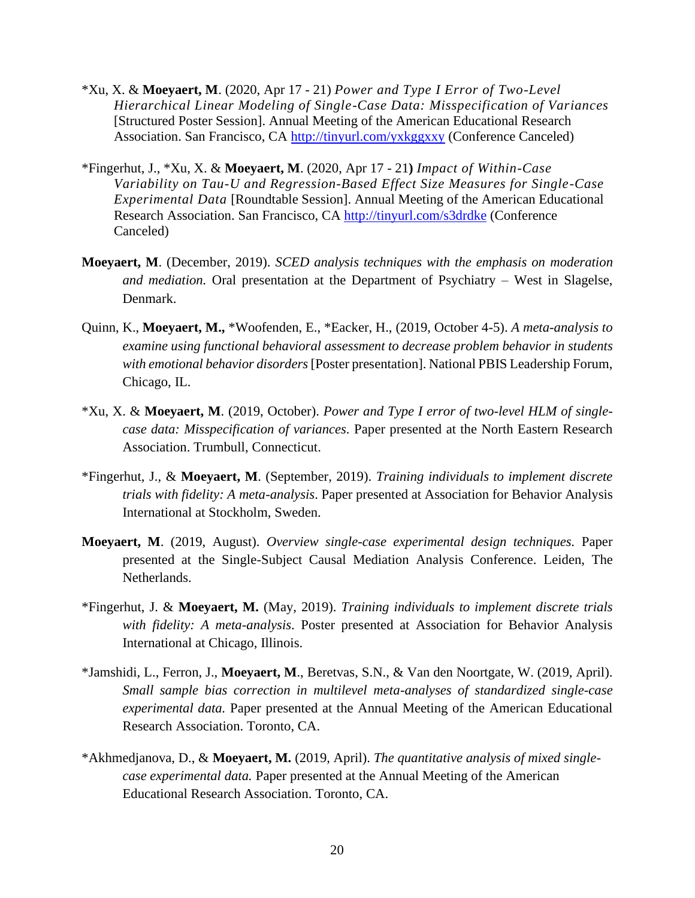- \*Xu, X. & **Moeyaert, M**. (2020, Apr 17 21) *Power and Type I Error of Two-Level Hierarchical Linear Modeling of Single-Case Data: Misspecification of Variances* [Structured Poster Session]. Annual Meeting of the American Educational Research Association. San Francisco, CA<http://tinyurl.com/yxkggxxy> (Conference Canceled)
- \*Fingerhut, J., \*Xu, X. & **Moeyaert, M**. (2020, Apr 17 21**)** *Impact of Within-Case Variability on Tau-U and Regression-Based Effect Size Measures for Single-Case Experimental Data* [Roundtable Session]. Annual Meeting of the American Educational Research Association. San Francisco, CA<http://tinyurl.com/s3drdke> (Conference Canceled)
- **Moeyaert, M**. (December, 2019). *SCED analysis techniques with the emphasis on moderation and mediation.* Oral presentation at the Department of Psychiatry – West in Slagelse, Denmark.
- Quinn, K., **Moeyaert, M.,** \*Woofenden, E., \*Eacker, H., (2019, October 4-5). *A meta-analysis to examine using functional behavioral assessment to decrease problem behavior in students with emotional behavior disorders* [Poster presentation]. National PBIS Leadership Forum, Chicago, IL.
- \*Xu, X. & **Moeyaert, M**. (2019, October). *Power and Type I error of two-level HLM of singlecase data: Misspecification of variances.* Paper presented at the North Eastern Research Association. Trumbull, Connecticut.
- \*Fingerhut, J., & **Moeyaert, M**. (September, 2019). *Training individuals to implement discrete trials with fidelity: A meta-analysis*. Paper presented at Association for Behavior Analysis International at Stockholm, Sweden.
- **Moeyaert, M**. (2019, August). *Overview single-case experimental design techniques.* Paper presented at the Single-Subject Causal Mediation Analysis Conference. Leiden, The Netherlands.
- \*Fingerhut, J. & **Moeyaert, M.** (May, 2019). *Training individuals to implement discrete trials with fidelity: A meta-analysis*. Poster presented at Association for Behavior Analysis International at Chicago, Illinois.
- \*Jamshidi, L., Ferron, J., **Moeyaert, M**., Beretvas, S.N., & Van den Noortgate, W. (2019, April). *Small sample bias correction in multilevel meta-analyses of standardized single-case experimental data.* Paper presented at the Annual Meeting of the American Educational Research Association. Toronto, CA.
- \*Akhmedjanova, D., & **Moeyaert, M.** (2019, April). *The quantitative analysis of mixed singlecase experimental data.* Paper presented at the Annual Meeting of the American Educational Research Association. Toronto, CA.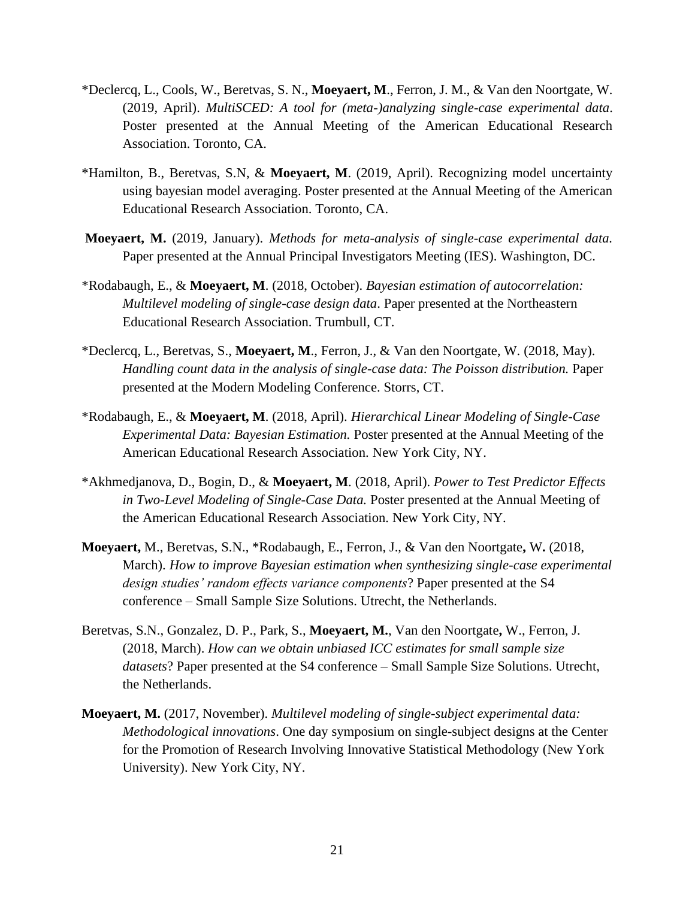- \*Declercq, L., Cools, W., Beretvas, S. N., **Moeyaert, M**., Ferron, J. M., & Van den Noortgate, W. (2019, April). *MultiSCED: A tool for (meta-)analyzing single-case experimental data*. Poster presented at the Annual Meeting of the American Educational Research Association. Toronto, CA.
- \*Hamilton, B., Beretvas, S.N, & **Moeyaert, M**. (2019, April). Recognizing model uncertainty using bayesian model averaging. Poster presented at the Annual Meeting of the American Educational Research Association. Toronto, CA.
- **Moeyaert, M.** (2019, January). *Methods for meta-analysis of single-case experimental data.* Paper presented at the Annual Principal Investigators Meeting (IES). Washington, DC.
- \*Rodabaugh, E., & **Moeyaert, M**. (2018, October). *Bayesian estimation of autocorrelation: Multilevel modeling of single-case design data*. Paper presented at the Northeastern Educational Research Association. Trumbull, CT.
- \*Declercq, L., Beretvas, S., **Moeyaert, M**., Ferron, J., & Van den Noortgate, W. (2018, May). *Handling count data in the analysis of single-case data: The Poisson distribution.* Paper presented at the Modern Modeling Conference. Storrs, CT.
- \*Rodabaugh, E., & **Moeyaert, M**. (2018, April). *Hierarchical Linear Modeling of Single-Case Experimental Data: Bayesian Estimation.* Poster presented at the Annual Meeting of the American Educational Research Association. New York City, NY.
- \*Akhmedjanova, D., Bogin, D., & **Moeyaert, M**. (2018, April). *Power to Test Predictor Effects in Two-Level Modeling of Single-Case Data.* Poster presented at the Annual Meeting of the American Educational Research Association*.* New York City, NY.
- **Moeyaert,** M., Beretvas, S.N., \*Rodabaugh, E., Ferron, J., & Van den Noortgate**,** W**.** (2018, March). *How to improve Bayesian estimation when synthesizing single-case experimental design studies' random effects variance components*? Paper presented at the S4 conference – Small Sample Size Solutions. Utrecht, the Netherlands.
- Beretvas, S.N., Gonzalez, D. P., Park, S., **Moeyaert, M.**, Van den Noortgate**,** W., Ferron, J. (2018, March). *How can we obtain unbiased ICC estimates for small sample size datasets*? Paper presented at the S4 conference – Small Sample Size Solutions. Utrecht, the Netherlands.
- **Moeyaert, M.** (2017, November). *Multilevel modeling of single-subject experimental data: Methodological innovations*. One day symposium on single-subject designs at the Center for the Promotion of Research Involving Innovative Statistical Methodology (New York University). New York City, NY.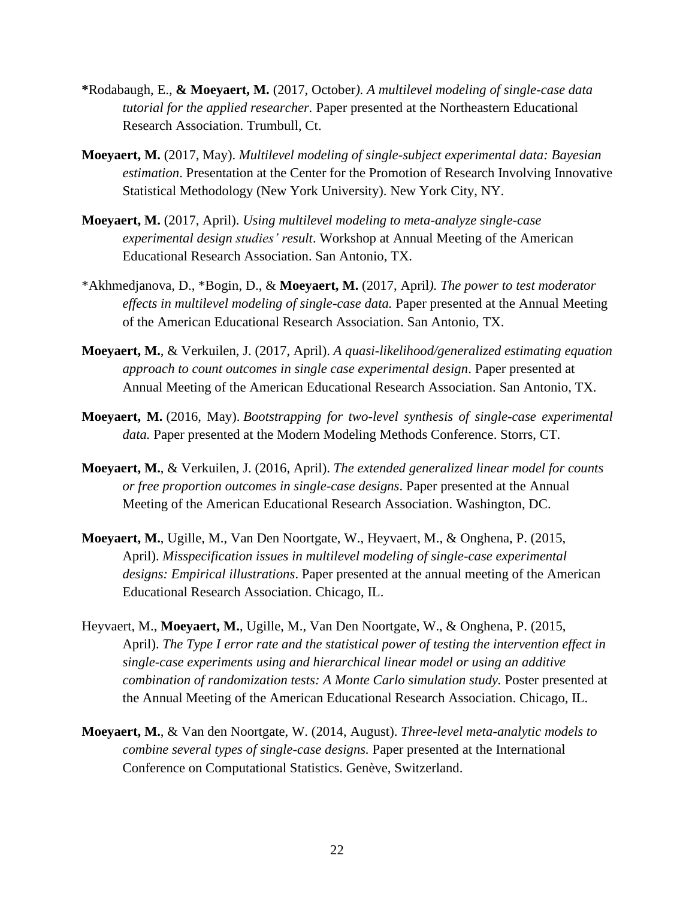- **\***Rodabaugh, E., **& Moeyaert, M.** (2017, October*). A multilevel modeling of single-case data tutorial for the applied researcher.* Paper presented at the Northeastern Educational Research Association. Trumbull, Ct.
- **Moeyaert, M.** (2017, May). *Multilevel modeling of single-subject experimental data: Bayesian estimation*. Presentation at the Center for the Promotion of Research Involving Innovative Statistical Methodology (New York University). New York City, NY.
- **Moeyaert, M.** (2017, April). *Using multilevel modeling to meta-analyze single-case experimental design studies' result*. Workshop at Annual Meeting of the American Educational Research Association. San Antonio, TX.
- \*Akhmedjanova, D., \*Bogin, D., & **Moeyaert, M.** (2017, April*). The power to test moderator effects in multilevel modeling of single-case data.* Paper presented at the Annual Meeting of the American Educational Research Association. San Antonio, TX.
- **Moeyaert, M.**, & Verkuilen, J. (2017, April). *A quasi-likelihood/generalized estimating equation approach to count outcomes in single case experimental design*. Paper presented at Annual Meeting of the American Educational Research Association. San Antonio, TX.
- **Moeyaert, M.** (2016, May). *Bootstrapping for two-level synthesis of single-case experimental data.* Paper presented at the Modern Modeling Methods Conference. Storrs, CT*.*
- **Moeyaert, M.**, & Verkuilen, J. (2016, April). *The extended generalized linear model for counts or free proportion outcomes in single-case designs*. Paper presented at the Annual Meeting of the American Educational Research Association. Washington, DC.
- **Moeyaert, M.**, Ugille, M., Van Den Noortgate, W., Heyvaert, M., & Onghena, P. (2015, April). *Misspecification issues in multilevel modeling of single-case experimental designs: Empirical illustrations*. Paper presented at the annual meeting of the American Educational Research Association. Chicago, IL.
- Heyvaert, M., **Moeyaert, M.**, Ugille, M., Van Den Noortgate, W., & Onghena, P. (2015, April). *The Type I error rate and the statistical power of testing the intervention effect in single-case experiments using and hierarchical linear model or using an additive combination of randomization tests: A Monte Carlo simulation study.* Poster presented at the Annual Meeting of the American Educational Research Association. Chicago, IL.
- **Moeyaert, M.**, & Van den Noortgate, W. (2014, August). *Three-level meta-analytic models to combine several types of single-case designs.* Paper presented at the International Conference on Computational Statistics. Genève, Switzerland.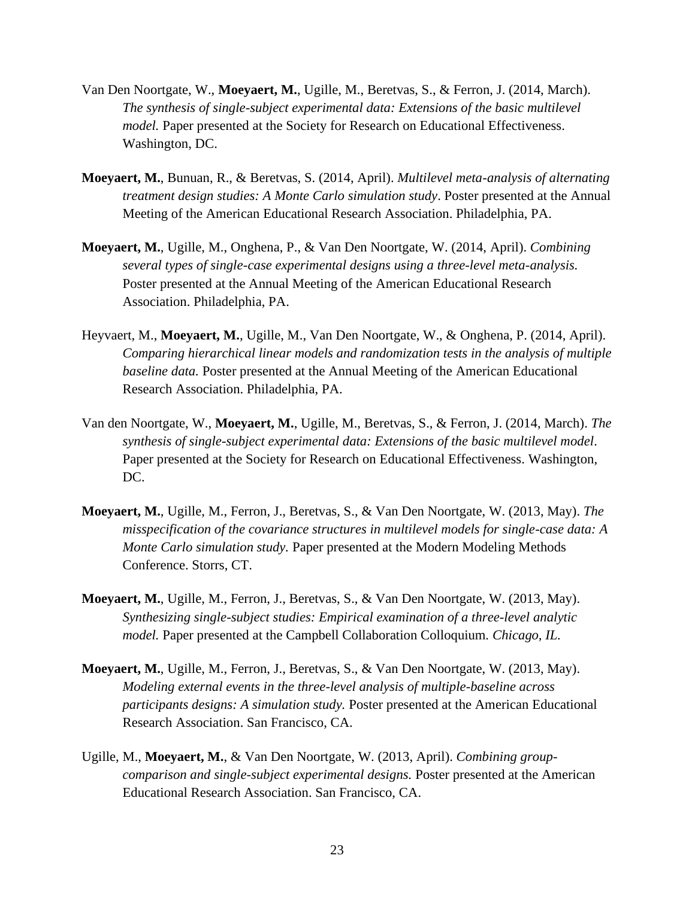- Van Den Noortgate, W., **Moeyaert, M.**, Ugille, M., Beretvas, S., & Ferron, J. (2014, March). *The synthesis of single-subject experimental data: Extensions of the basic multilevel model.* Paper presented at the Society for Research on Educational Effectiveness. Washington, DC.
- **Moeyaert, M.**, Bunuan, R., & Beretvas, S. (2014, April). *Multilevel meta-analysis of alternating treatment design studies: A Monte Carlo simulation study*. Poster presented at the Annual Meeting of the American Educational Research Association. Philadelphia, PA.
- **Moeyaert, M.**, Ugille, M., Onghena, P., & Van Den Noortgate, W. (2014, April). *Combining several types of single-case experimental designs using a three-level meta-analysis.* Poster presented at the Annual Meeting of the American Educational Research Association. Philadelphia, PA.
- Heyvaert, M., **Moeyaert, M.**, Ugille, M., Van Den Noortgate, W., & Onghena, P. (2014, April). *Comparing hierarchical linear models and randomization tests in the analysis of multiple baseline data.* Poster presented at the Annual Meeting of the American Educational Research Association. Philadelphia, PA.
- Van den Noortgate, W., **Moeyaert, M.**, Ugille, M., Beretvas, S., & Ferron, J. (2014, March). *The synthesis of single-subject experimental data: Extensions of the basic multilevel model*. Paper presented at the Society for Research on Educational Effectiveness. Washington, DC.
- **Moeyaert, M.**, Ugille, M., Ferron, J., Beretvas, S., & Van Den Noortgate, W. (2013, May). *The misspecification of the covariance structures in multilevel models for single-case data: A Monte Carlo simulation study.* Paper presented at the Modern Modeling Methods Conference. Storrs, CT.
- **Moeyaert, M.**, Ugille, M., Ferron, J., Beretvas, S., & Van Den Noortgate, W. (2013, May). *Synthesizing single-subject studies: Empirical examination of a three-level analytic model.* Paper presented at the Campbell Collaboration Colloquium*. Chicago, IL.*
- **Moeyaert, M.**, Ugille, M., Ferron, J., Beretvas, S., & Van Den Noortgate, W. (2013, May). *Modeling external events in the three-level analysis of multiple-baseline across participants designs: A simulation study.* Poster presented at the American Educational Research Association. San Francisco, CA.
- Ugille, M., **Moeyaert, M.**, & Van Den Noortgate, W. (2013, April). *Combining groupcomparison and single-subject experimental designs.* Poster presented at the American Educational Research Association. San Francisco, CA.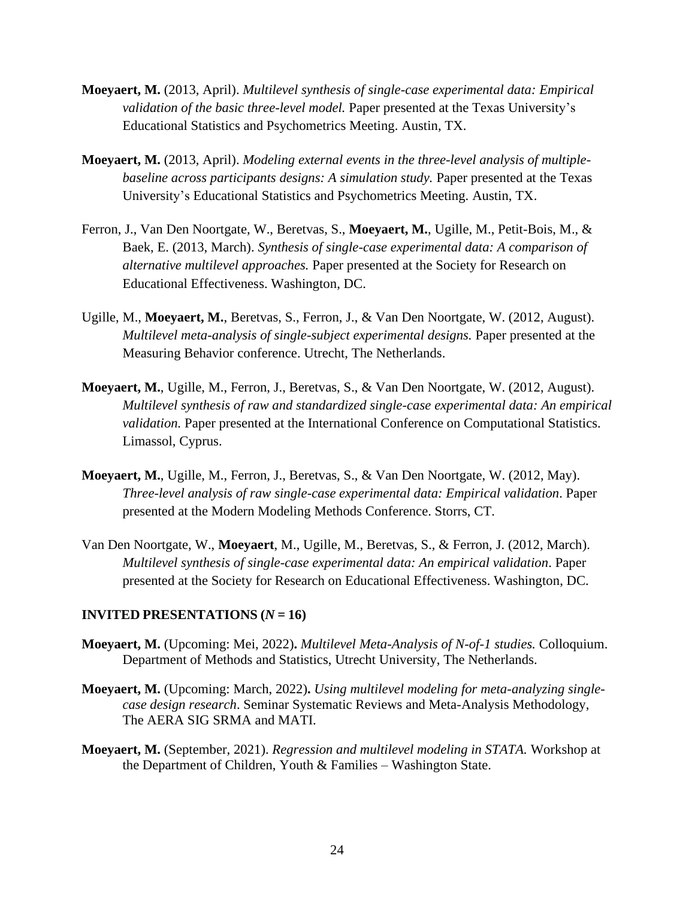- **Moeyaert, M.** (2013, April). *Multilevel synthesis of single-case experimental data: Empirical validation of the basic three-level model.* Paper presented at the Texas University's Educational Statistics and Psychometrics Meeting. Austin, TX.
- **Moeyaert, M.** (2013, April). *Modeling external events in the three-level analysis of multiplebaseline across participants designs: A simulation study.* Paper presented at the Texas University's Educational Statistics and Psychometrics Meeting. Austin, TX.
- Ferron, J., Van Den Noortgate, W., Beretvas, S., **Moeyaert, M.**, Ugille, M., Petit-Bois, M., & Baek, E. (2013, March). *Synthesis of single-case experimental data: A comparison of alternative multilevel approaches.* Paper presented at the Society for Research on Educational Effectiveness. Washington, DC.
- Ugille, M., **Moeyaert, M.**, Beretvas, S., Ferron, J., & Van Den Noortgate, W. (2012, August). *Multilevel meta-analysis of single-subject experimental designs.* Paper presented at the Measuring Behavior conference. Utrecht, The Netherlands.
- **Moeyaert, M.**, Ugille, M., Ferron, J., Beretvas, S., & Van Den Noortgate, W. (2012, August). *Multilevel synthesis of raw and standardized single-case experimental data: An empirical validation.* Paper presented at the International Conference on Computational Statistics. Limassol, Cyprus.
- **Moeyaert, M.**, Ugille, M., Ferron, J., Beretvas, S., & Van Den Noortgate, W. (2012, May). *Three-level analysis of raw single-case experimental data: Empirical validation*. Paper presented at the Modern Modeling Methods Conference. Storrs, CT.
- Van Den Noortgate, W., **Moeyaert**, M., Ugille, M., Beretvas, S., & Ferron, J. (2012, March). *Multilevel synthesis of single-case experimental data: An empirical validation*. Paper presented at the Society for Research on Educational Effectiveness. Washington, DC.

# **INVITED PRESENTATIONS**  $(N = 16)$

- **Moeyaert, M.** (Upcoming: Mei, 2022)**.** *Multilevel Meta-Analysis of N-of-1 studies.* Colloquium. Department of Methods and Statistics, Utrecht University, The Netherlands.
- **Moeyaert, M.** (Upcoming: March, 2022)**.** *Using multilevel modeling for meta-analyzing singlecase design research*. Seminar Systematic Reviews and Meta-Analysis Methodology, The AERA SIG SRMA and MATI.
- **Moeyaert, M.** (September, 2021). *Regression and multilevel modeling in STATA.* Workshop at the Department of Children, Youth  $&$  Families – Washington State.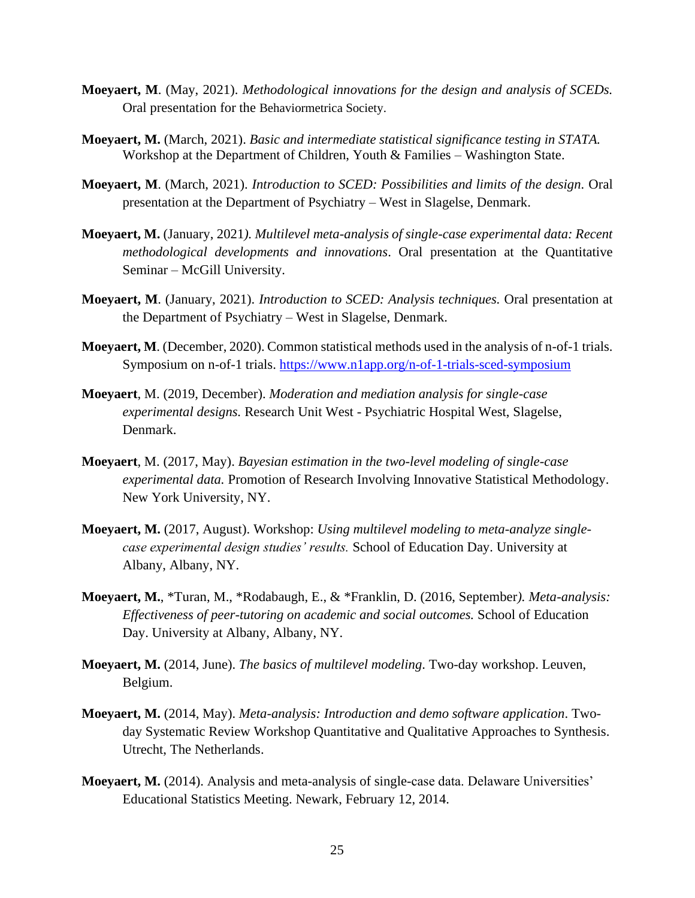- **Moeyaert, M**. (May, 2021). *Methodological innovations for the design and analysis of SCEDs.* Oral presentation for the Behaviormetrica Society.
- **Moeyaert, M.** (March, 2021). *Basic and intermediate statistical significance testing in STATA.* Workshop at the Department of Children, Youth & Families – Washington State.
- **Moeyaert, M**. (March, 2021). *Introduction to SCED: Possibilities and limits of the design.* Oral presentation at the Department of Psychiatry – West in Slagelse, Denmark.
- **Moeyaert, M.** (January, 2021*). Multilevel meta-analysis of single-case experimental data: Recent methodological developments and innovations*. Oral presentation at the Quantitative Seminar – McGill University.
- **Moeyaert, M**. (January, 2021). *Introduction to SCED: Analysis techniques.* Oral presentation at the Department of Psychiatry – West in Slagelse, Denmark.
- **Moeyaert, M**. (December, 2020). Common statistical methods used in the analysis of n-of-1 trials. Symposium on n-of-1 trials.<https://www.n1app.org/n-of-1-trials-sced-symposium>
- **Moeyaert**, M. (2019, December). *Moderation and mediation analysis for single-case experimental designs.* Research Unit West - Psychiatric Hospital West, Slagelse, Denmark.
- **Moeyaert**, M. (2017, May). *Bayesian estimation in the two-level modeling of single-case experimental data.* Promotion of Research Involving Innovative Statistical Methodology. New York University, NY.
- **Moeyaert, M.** (2017, August). Workshop: *Using multilevel modeling to meta-analyze singlecase experimental design studies' results.* School of Education Day. University at Albany, Albany, NY.
- **Moeyaert, M.**, \*Turan, M., \*Rodabaugh, E., & \*Franklin, D. (2016, September*). Meta-analysis: Effectiveness of peer-tutoring on academic and social outcomes.* School of Education Day. University at Albany, Albany, NY.
- **Moeyaert, M.** (2014, June). *The basics of multilevel modeling*. Two-day workshop. Leuven, Belgium.
- **Moeyaert, M.** (2014, May). *Meta-analysis: Introduction and demo software application*. Twoday Systematic Review Workshop Quantitative and Qualitative Approaches to Synthesis. Utrecht, The Netherlands.
- **Moeyaert, M.** (2014). Analysis and meta-analysis of single-case data. Delaware Universities' Educational Statistics Meeting. Newark, February 12, 2014.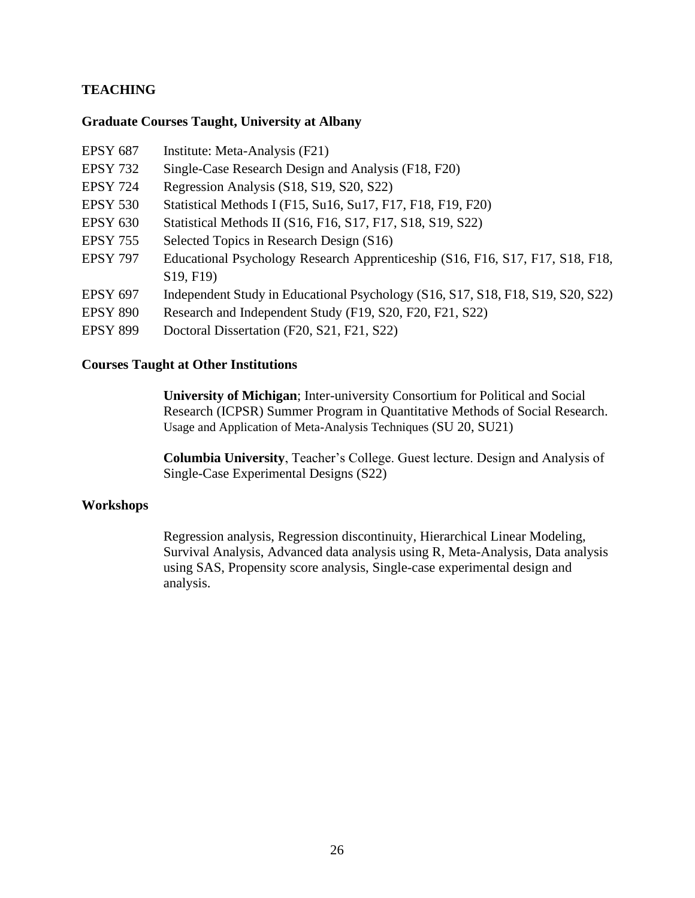# **TEACHING**

### **Graduate Courses Taught, University at Albany**

| <b>EPSY 687</b> | Institute: Meta-Analysis (F21)                                                  |
|-----------------|---------------------------------------------------------------------------------|
| <b>EPSY 732</b> | Single-Case Research Design and Analysis (F18, F20)                             |
| <b>EPSY 724</b> | Regression Analysis (S18, S19, S20, S22)                                        |
| <b>EPSY 530</b> | Statistical Methods I (F15, Su16, Su17, F17, F18, F19, F20)                     |
| <b>EPSY 630</b> | Statistical Methods II (S16, F16, S17, F17, S18, S19, S22)                      |
| <b>EPSY 755</b> | Selected Topics in Research Design (S16)                                        |
| <b>EPSY 797</b> | Educational Psychology Research Apprenticeship (S16, F16, S17, F17, S18, F18,   |
|                 | S19, F19                                                                        |
| <b>EPSY 697</b> | Independent Study in Educational Psychology (S16, S17, S18, F18, S19, S20, S22) |
| <b>EPSY 890</b> | Research and Independent Study (F19, S20, F20, F21, S22)                        |
| <b>EPSY 899</b> | Doctoral Dissertation (F20, S21, F21, S22)                                      |

### **Courses Taught at Other Institutions**

**University of Michigan**; Inter-university Consortium for Political and Social Research (ICPSR) Summer Program in Quantitative Methods of Social Research. [Usage and Application of Meta-Analysis Techniques](https://www.icpsr.umich.edu/icpsrweb/sumprog/courses/0283) (SU 20, SU21)

**Columbia University**, Teacher's College. Guest lecture. Design and Analysis of Single-Case Experimental Designs (S22)

# **Workshops**

Regression analysis, Regression discontinuity, Hierarchical Linear Modeling, Survival Analysis, Advanced data analysis using R, Meta-Analysis, Data analysis using SAS, Propensity score analysis, Single-case experimental design and analysis.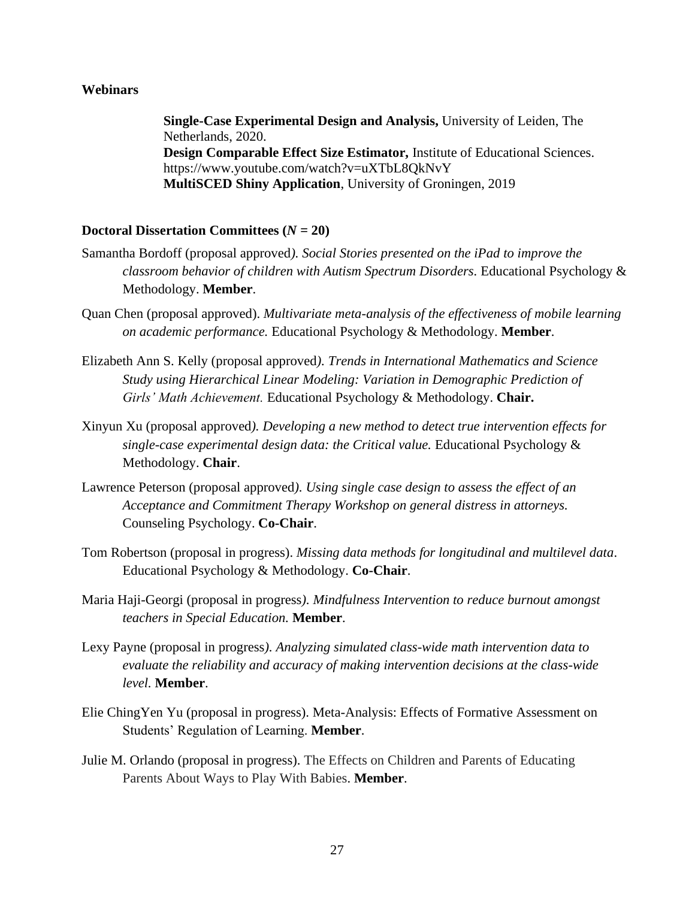### **Webinars**

**Single-Case Experimental Design and Analysis,** University of Leiden, The Netherlands, 2020. **Design Comparable Effect Size Estimator,** Institute of Educational Sciences. <https://www.youtube.com/watch?v=uXTbL8QkNvY> **MultiSCED Shiny Application**, University of Groningen, 2019

### **Doctoral Dissertation Committees (***N =* **20)**

- Samantha Bordoff (proposal approved*). Social Stories presented on the iPad to improve the classroom behavior of children with Autism Spectrum Disorders.* Educational Psychology & Methodology. **Member**.
- Quan Chen (proposal approved). *Multivariate meta-analysis of the effectiveness of mobile learning on academic performance.* Educational Psychology & Methodology. **Member**.
- Elizabeth Ann S. Kelly (proposal approved*). Trends in International Mathematics and Science Study using Hierarchical Linear Modeling: Variation in Demographic Prediction of Girls' Math Achievement.* Educational Psychology & Methodology. **Chair.**
- Xinyun Xu (proposal approved*). Developing a new method to detect true intervention effects for single-case experimental design data: the Critical value.* Educational Psychology & Methodology. **Chair**.
- Lawrence Peterson (proposal approved*). Using single case design to assess the effect of an Acceptance and Commitment Therapy Workshop on general distress in attorneys.* Counseling Psychology. **Co-Chair**.
- Tom Robertson (proposal in progress). *Missing data methods for longitudinal and multilevel data*. Educational Psychology & Methodology. **Co-Chair**.
- Maria Haji-Georgi (proposal in progress*). Mindfulness Intervention to reduce burnout amongst teachers in Special Education.* **Member**.
- Lexy Payne (proposal in progress*). Analyzing simulated class-wide math intervention data to evaluate the reliability and accuracy of making intervention decisions at the class-wide level.* **Member**.
- Elie ChingYen Yu (proposal in progress). Meta-Analysis: Effects of Formative Assessment on Students' Regulation of Learning. **Member**.
- Julie M. Orlando (proposal in progress). The Effects on Children and Parents of Educating Parents About Ways to Play With Babies. **Member**.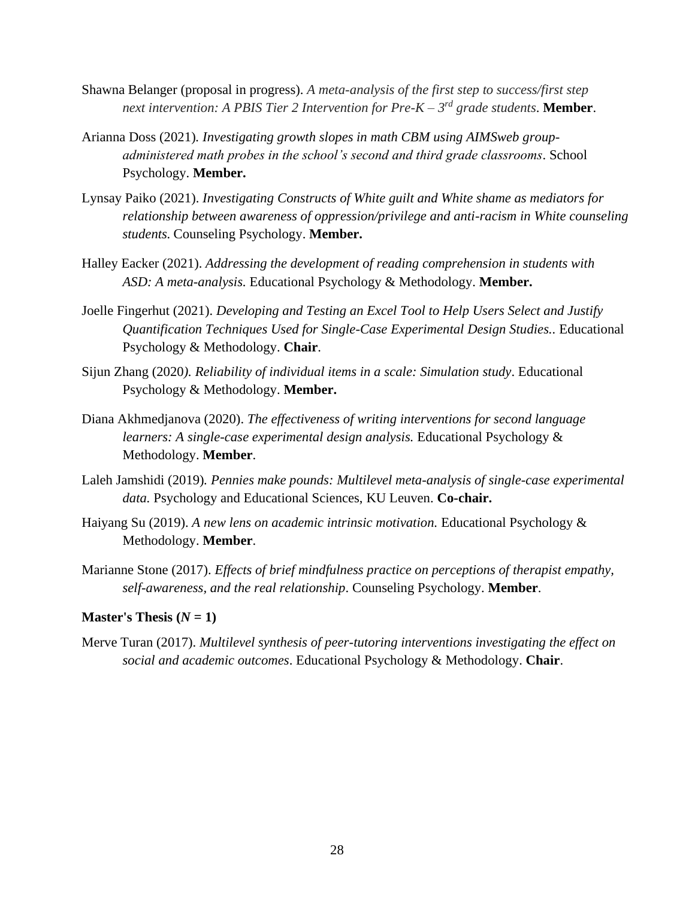- Shawna Belanger (proposal in progress). *A meta-analysis of the first step to success/first step next intervention: A PBIS Tier 2 Intervention for Pre-K – 3 rd grade students*. **Member**.
- Arianna Doss (2021)*. Investigating growth slopes in math CBM using AIMSweb groupadministered math probes in the school's second and third grade classrooms*. School Psychology. **Member.**
- Lynsay Paiko (2021). *Investigating Constructs of White guilt and White shame as mediators for relationship between awareness of oppression/privilege and anti-racism in White counseling students.* Counseling Psychology. **Member.**
- Halley Eacker (2021). *Addressing the development of reading comprehension in students with ASD: A meta-analysis.* Educational Psychology & Methodology. **Member.**
- Joelle Fingerhut (2021). *Developing and Testing an Excel Tool to Help Users Select and Justify Quantification Techniques Used for Single-Case Experimental Design Studies..* Educational Psychology & Methodology. **Chair**.
- Sijun Zhang (2020*). Reliability of individual items in a scale: Simulation study*. Educational Psychology & Methodology. **Member.**
- Diana Akhmedjanova (2020). *The effectiveness of writing interventions for second language learners: A single-case experimental design analysis.* Educational Psychology & Methodology. **Member**.
- Laleh Jamshidi (2019)*. Pennies make pounds: Multilevel meta-analysis of single-case experimental data.* Psychology and Educational Sciences, KU Leuven. **Co-chair.**
- Haiyang Su (2019). *A new lens on academic intrinsic motivation.* Educational Psychology & Methodology. **Member**.
- Marianne Stone (2017). *Effects of brief mindfulness practice on perceptions of therapist empathy, self-awareness, and the real relationship*. Counseling Psychology. **Member**.

### **Master's Thesis**  $(N = 1)$

Merve Turan (2017). *Multilevel synthesis of peer-tutoring interventions investigating the effect on social and academic outcomes*. Educational Psychology & Methodology. **Chair**.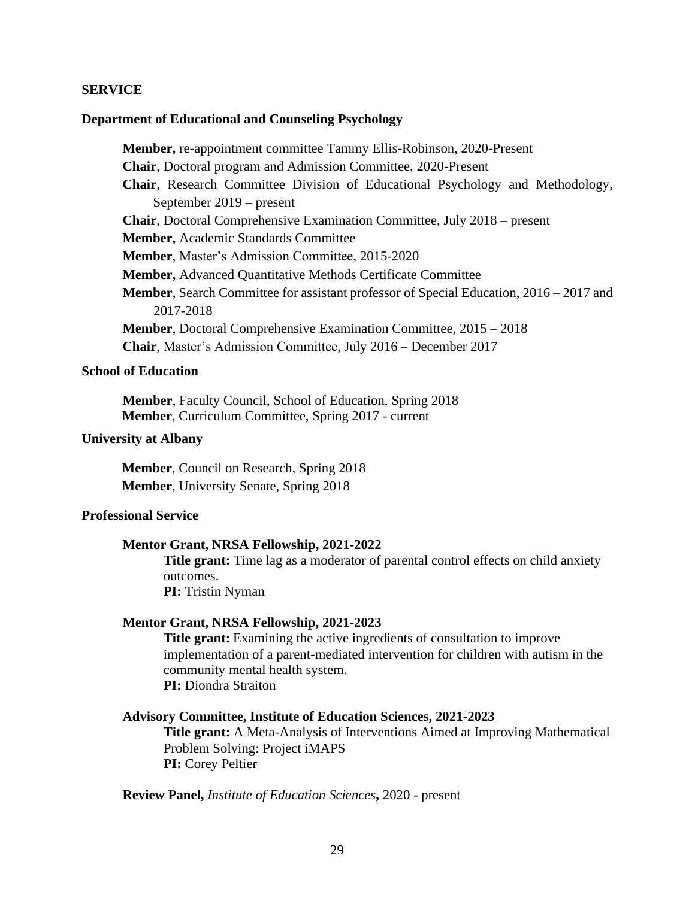### **SERVICE**

#### **Department of Educational and Counseling Psychology**

**Member,** re-appointment committee Tammy Ellis-Robinson, 2020-Present **Chair**, Doctoral program and Admission Committee, 2020-Present **Chair**, Research Committee Division of Educational Psychology and Methodology, September 2019 – present **Chair**, Doctoral Comprehensive Examination Committee, July 2018 – present **Member,** Academic Standards Committee **Member**, Master's Admission Committee, 2015-2020 **Member,** Advanced Quantitative Methods Certificate Committee **Member**, Search Committee for assistant professor of Special Education, 2016 – 2017 and 2017-2018 **Member**, Doctoral Comprehensive Examination Committee, 2015 – 2018 **Chair**, Master's Admission Committee, July 2016 – December 2017

### **School of Education**

**Member**, Faculty Council, School of Education, Spring 2018 **Member**, Curriculum Committee, Spring 2017 - current

### **University at Albany**

**Member**, Council on Research, Spring 2018 **Member**, University Senate, Spring 2018

### **Professional Service**

### **Mentor Grant, NRSA Fellowship, 2021-2022**

**Title grant:** Time lag as a moderator of parental control effects on child anxiety outcomes. **PI:** Tristin Nyman

#### **Mentor Grant, NRSA Fellowship, 2021-2023**

**Title grant:** Examining the active ingredients of consultation to improve implementation of a parent-mediated intervention for children with autism in the community mental health system. **PI:** Diondra Straiton

#### **Advisory Committee, Institute of Education Sciences, 2021-2023**

**Title grant:** A Meta-Analysis of Interventions Aimed at Improving Mathematical Problem Solving: Project iMAPS **PI:** Corey Peltier

**Review Panel,** *Institute of Education Sciences***,** 2020 - present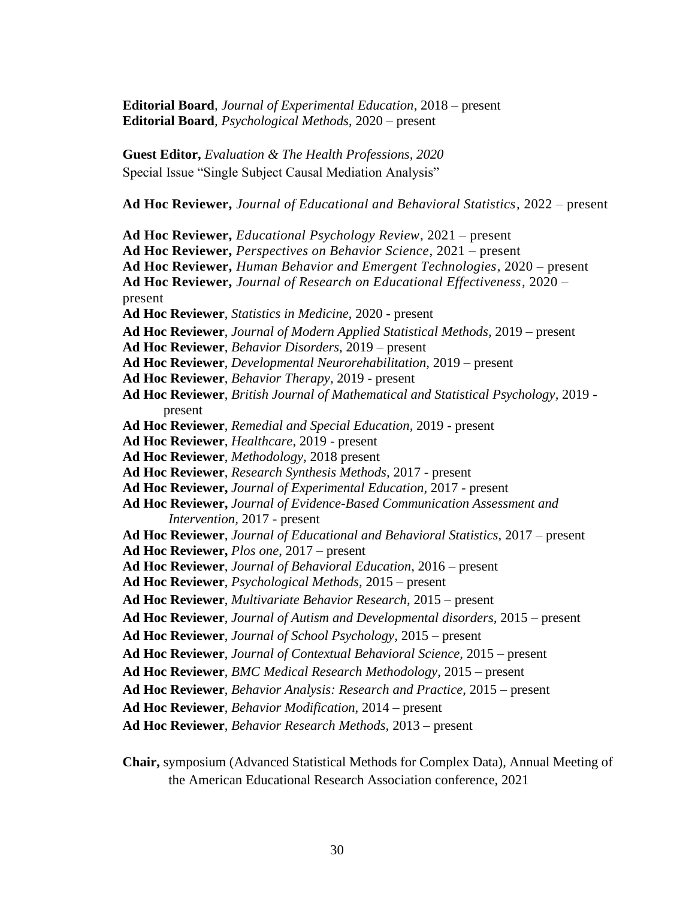**Editorial Board***, Journal of Experimental Education*, 2018 – present **Editorial Board***, Psychological Methods*, 2020 – present

**Guest Editor,** *Evaluation & The Health Professions, 2020* Special Issue "Single Subject Causal Mediation Analysis"

**Ad Hoc Reviewer,** *Journal of Educational and Behavioral Statistics,* 2022 – present

**Ad Hoc Reviewer,** *Educational Psychology Review,* 2021 – present **Ad Hoc Reviewer,** *Perspectives on Behavior Science,* 2021 – present **Ad Hoc Reviewer,** *Human Behavior and Emergent Technologies,* 2020 – present **Ad Hoc Reviewer,** *Journal of Research on Educational Effectiveness,* 2020 – present **Ad Hoc Reviewer**, *Statistics in Medicine*, 2020 - present **Ad Hoc Reviewer**, *Journal of Modern Applied Statistical Methods,* 2019 – present **Ad Hoc Reviewer**, *Behavior Disorders,* 2019 – present **Ad Hoc Reviewer**, *Developmental Neurorehabilitation,* 2019 – present **Ad Hoc Reviewer**, *Behavior Therapy,* 2019 - present **Ad Hoc Reviewer**, *British Journal of Mathematical and Statistical Psychology,* 2019 present **Ad Hoc Reviewer**, *Remedial and Special Education,* 2019 - present **Ad Hoc Reviewer**, *Healthcare*, 2019 - present **Ad Hoc Reviewer**, *Methodology,* 2018 present **Ad Hoc Reviewer**, *Research Synthesis Methods,* 2017 - present **Ad Hoc Reviewer,** *Journal of Experimental Education,* 2017 - present **Ad Hoc Reviewer,** *Journal of Evidence-Based Communication Assessment and Intervention,* 2017 - present **Ad Hoc Reviewer**, *Journal of Educational and Behavioral Statistics*, 2017 – present **Ad Hoc Reviewer,** *Plos one*, 2017 – present **Ad Hoc Reviewer**, *Journal of Behavioral Education*, 2016 – present **Ad Hoc Reviewer**, *Psychological Methods,* 2015 – present **Ad Hoc Reviewer**, *Multivariate Behavior Research,* 2015 – present **Ad Hoc Reviewer**, *Journal of Autism and Developmental disorders,* 2015 – present **Ad Hoc Reviewer**, *Journal of School Psychology,* 2015 – present **Ad Hoc Reviewer**, *Journal of Contextual Behavioral Science,* 2015 – present **Ad Hoc Reviewer**, *BMC Medical Research Methodology*, 2015 – present **Ad Hoc Reviewer**, *Behavior Analysis: Research and Practice*, 2015 – present **Ad Hoc Reviewer**, *Behavior Modification,* 2014 – present **Ad Hoc Reviewer**, *Behavior Research Methods,* 2013 – present

**Chair,** symposium (Advanced Statistical Methods for Complex Data), Annual Meeting of the American Educational Research Association conference, 2021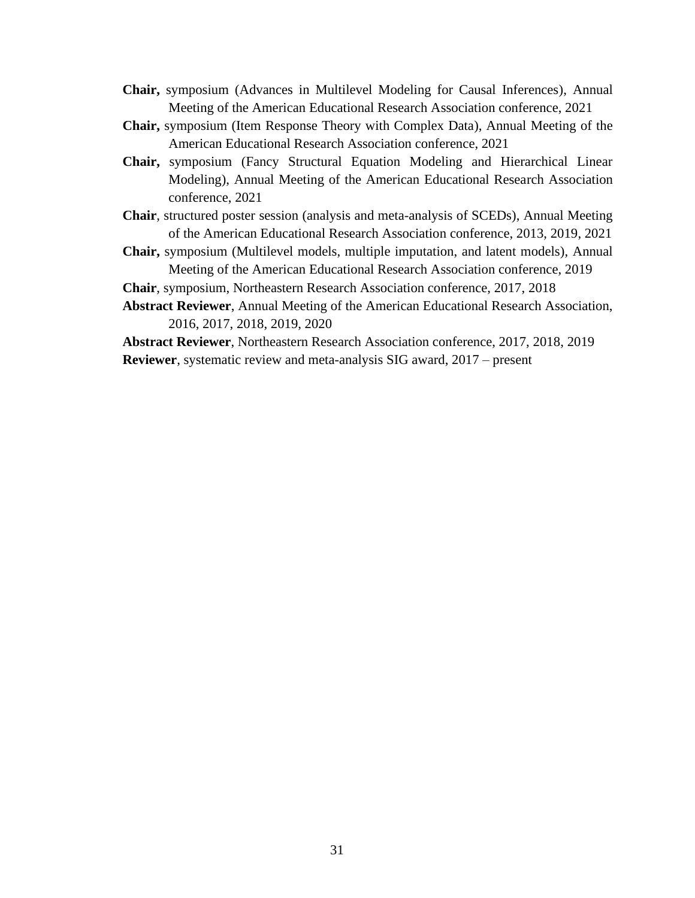- **Chair,** symposium (Advances in Multilevel Modeling for Causal Inferences), Annual Meeting of the American Educational Research Association conference, 2021
- **Chair,** symposium (Item Response Theory with Complex Data), Annual Meeting of the American Educational Research Association conference, 2021
- **Chair,** symposium (Fancy Structural Equation Modeling and Hierarchical Linear Modeling), Annual Meeting of the American Educational Research Association conference, 2021
- **Chair**, structured poster session (analysis and meta-analysis of SCEDs), Annual Meeting of the American Educational Research Association conference, 2013, 2019, 2021
- **Chair,** symposium (Multilevel models, multiple imputation, and latent models), Annual Meeting of the American Educational Research Association conference, 2019

**Chair**, symposium, Northeastern Research Association conference, 2017, 2018

**Abstract Reviewer**, Annual Meeting of the American Educational Research Association, 2016, 2017, 2018, 2019, 2020

**Abstract Reviewer**, Northeastern Research Association conference, 2017, 2018, 2019 **Reviewer**, systematic review and meta-analysis SIG award, 2017 – present